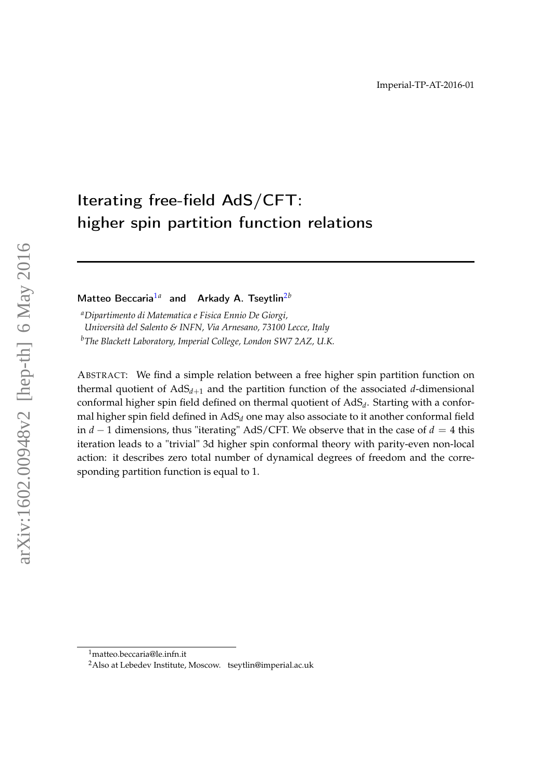# Iterating free-field AdS/CFT: higher spin partition function relations

Matteo Beccaria<sup>[1](#page-0-0)a</sup> and Arkady A. Tseytlin<sup>[2](#page-0-1)b</sup>

*<sup>a</sup>Dipartimento di Matematica e Fisica Ennio De Giorgi, Università del Salento & INFN, Via Arnesano, 73100 Lecce, Italy <sup>b</sup>The Blackett Laboratory, Imperial College, London SW7 2AZ, U.K.*

ABSTRACT: We find a simple relation between a free higher spin partition function on thermal quotient of  $AdS_{d+1}$  and the partition function of the associated  $d$ -dimensional conformal higher spin field defined on thermal quotient of AdS*<sup>d</sup>* . Starting with a conformal higher spin field defined in AdS*<sup>d</sup>* one may also associate to it another conformal field in  $d - 1$  dimensions, thus "iterating" AdS/CFT. We observe that in the case of  $d = 4$  this iteration leads to a "trivial" 3d higher spin conformal theory with parity-even non-local action: it describes zero total number of dynamical degrees of freedom and the corresponding partition function is equal to 1.

<span id="page-0-0"></span><sup>1</sup>matteo.beccaria@le.infn.it

<span id="page-0-1"></span><sup>2</sup>Also at Lebedev Institute, Moscow. tseytlin@imperial.ac.uk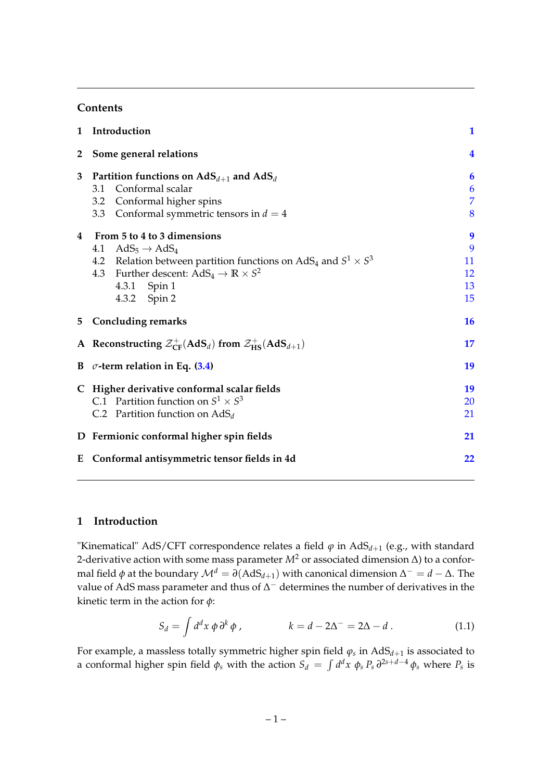## **Contents**

| $\mathbf{1}$ | Introduction                                                                                                                                                                                                                                           | $\mathbf{1}$                   |
|--------------|--------------------------------------------------------------------------------------------------------------------------------------------------------------------------------------------------------------------------------------------------------|--------------------------------|
| $\mathbf{2}$ | Some general relations                                                                                                                                                                                                                                 | $\overline{\mathbf{4}}$        |
| 3            | Partition functions on $AdS_{d+1}$ and $AdS_d$<br>Conformal scalar<br>3.1                                                                                                                                                                              | 6<br>6                         |
|              | 3.2 Conformal higher spins<br>3.3 Conformal symmetric tensors in $d = 4$                                                                                                                                                                               | $\overline{7}$<br>8            |
| 4            | From 5 to 4 to 3 dimensions<br>$AdS_5 \rightarrow AdS_4$<br>4.1<br>4.2 Relation between partition functions on AdS <sub>4</sub> and $S^1 \times S^3$<br>4.3 Further descent: $AdS_4 \rightarrow \mathbb{R} \times S^2$<br>4.3.1 Spin 1<br>4.3.2 Spin 2 | 9<br>9<br>11<br>12<br>13<br>15 |
|              | 5 Concluding remarks                                                                                                                                                                                                                                   | <b>16</b>                      |
|              | A Reconstructing $\mathcal{Z}_{CF}^+(AdS_d)$ from $\mathcal{Z}_{HS}^+(AdS_{d+1})$                                                                                                                                                                      | 17                             |
|              | B $\sigma$ -term relation in Eq. (3.4)                                                                                                                                                                                                                 | 19                             |
|              | C Higher derivative conformal scalar fields<br>C.1 Partition function on $S^1 \times S^3$<br>C.2 Partition function on $AdS_d$                                                                                                                         | 19<br>20<br>21                 |
|              | D Fermionic conformal higher spin fields                                                                                                                                                                                                               | 21                             |
|              | E Conformal antisymmetric tensor fields in 4d                                                                                                                                                                                                          | 22                             |

## <span id="page-1-0"></span>**1 Introduction**

"Kinematical" AdS/CFT correspondence relates a field  $\varphi$  in AdS $_{d+1}$  (e.g., with standard 2-derivative action with some mass parameter *M*<sup>2</sup> or associated dimension ∆) to a conformal field  $\phi$  at the boundary  $\mathcal{M}^d=\partial(\text{AdS}_{d+1})$  with canonical dimension  $\Delta^-=d-\Delta.$  The value of AdS mass parameter and thus of  $\Delta^-$  determines the number of derivatives in the kinetic term in the action for *φ*:

<span id="page-1-1"></span>
$$
S_d = \int d^d x \, \phi \, \partial^k \phi \,, \qquad k = d - 2\Delta^- = 2\Delta - d \,. \tag{1.1}
$$

For example, a massless totally symmetric higher spin field *ϕ<sup>s</sup>* in AdS*d*+<sup>1</sup> is associated to a conformal higher spin field  $\phi_s$  with the action  $S_d\ =\ \int d^dx\ \phi_s\ P_s\ \partial^{2s+d-4}\phi_s$  where  $P_s$  is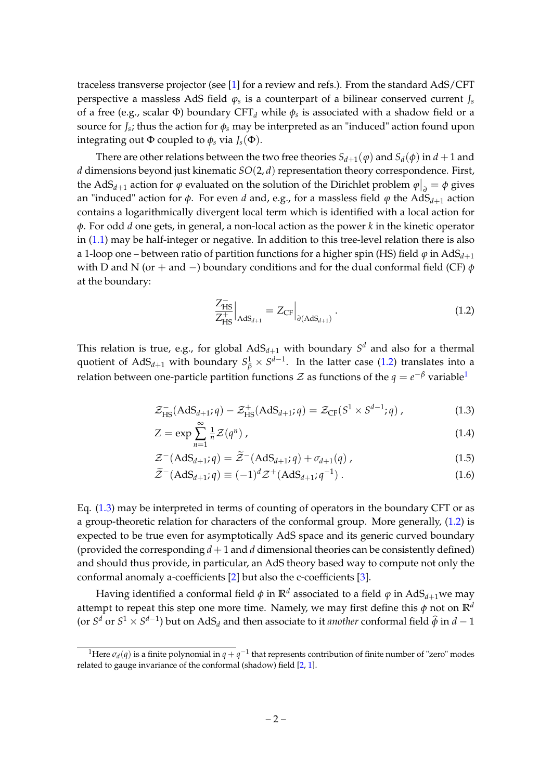traceless transverse projector (see [\[1\]](#page-24-0) for a review and refs.). From the standard AdS/CFT perspective a massless AdS field *ϕ<sup>s</sup>* is a counterpart of a bilinear conserved current *J<sup>s</sup>* of a free (e.g., scalar Φ) boundary CFT*<sup>d</sup>* while *φ<sup>s</sup>* is associated with a shadow field or a source for *J<sup>s</sup>* ; thus the action for *φ<sup>s</sup>* may be interpreted as an "induced" action found upon integrating out  $\Phi$  coupled to  $\phi_s$  via  $J_s(\Phi)$ .

There are other relations between the two free theories  $S_{d+1}(\varphi)$  and  $S_d(\varphi)$  in  $d+1$  and *d* dimensions beyond just kinematic *SO*(2, *d*) representation theory correspondence. First, the AdS<sub>*d*+1</sub> action for  $\varphi$  evaluated on the solution of the Dirichlet problem  $\varphi|_{\partial} = \varphi$  gives an "induced" action for  $\phi$ . For even *d* and, e.g., for a massless field  $\phi$  the AdS<sub>*d*+1</sub> action contains a logarithmically divergent local term which is identified with a local action for *φ*. For odd *d* one gets, in general, a non-local action as the power *k* in the kinetic operator in [\(1.1\)](#page-1-1) may be half-integer or negative. In addition to this tree-level relation there is also a 1-loop one – between ratio of partition functions for a higher spin (HS) field  $\varphi$  in AdS<sub>d+1</sub> with D and N (or + and −) boundary conditions and for the dual conformal field (CF) *φ* at the boundary:

<span id="page-2-0"></span>
$$
\left. \frac{Z_{\rm HS}^{-}}{Z_{\rm HS}^{+}} \right|_{\rm AdS_{d+1}} = Z_{\rm CF} \Big|_{\partial (\rm AdS_{d+1})} . \tag{1.2}
$$

This relation is true, e.g., for global  $\mathrm{AdS}_{d+1}$  with boundary  $S^d$  and also for a thermal quotient of  $AdS_{d+1}$  with boundary  $S^1_\beta \times S^{d-1}$ . In the latter case [\(1.2\)](#page-2-0) translates into a relation between one-particle partition functions  ${\cal Z}$  as functions of the  $q=e^{-\beta}$  variable<sup>[1](#page-2-1)</sup>

<span id="page-2-2"></span>
$$
\mathcal{Z}_{\text{HS}}^{-}(AdS_{d+1}; q) - \mathcal{Z}_{\text{HS}}^{+}(AdS_{d+1}; q) = \mathcal{Z}_{\text{CF}}(S^{1} \times S^{d-1}; q) ,\qquad (1.3)
$$

$$
Z = \exp\sum_{n=1}^{\infty} \frac{1}{n} \mathcal{Z}(q^n) \tag{1.4}
$$

$$
\mathcal{Z}^{-}(\text{AdS}_{d+1};q) = \widetilde{\mathcal{Z}}^{-}(\text{AdS}_{d+1};q) + \sigma_{d+1}(q) , \qquad (1.5)
$$

$$
\widetilde{\mathcal{Z}}^{-}(\text{AdS}_{d+1};q) \equiv (-1)^d \mathcal{Z}^+(\text{AdS}_{d+1};q^{-1}) . \qquad (1.6)
$$

Eq. [\(1.3\)](#page-2-2) may be interpreted in terms of counting of operators in the boundary CFT or as a group-theoretic relation for characters of the conformal group. More generally, [\(1.2\)](#page-2-0) is expected to be true even for asymptotically AdS space and its generic curved boundary (provided the corresponding  $d + 1$  and  $d$  dimensional theories can be consistently defined) and should thus provide, in particular, an AdS theory based way to compute not only the conformal anomaly a-coefficients [\[2\]](#page-24-1) but also the c-coefficients [\[3\]](#page-24-2).

Having identified a conformal field  $\phi$  in  $\mathbb{R}^d$  associated to a field  $\phi$  in AdS<sub>*d*+1</sub>we may attempt to repeat this step one more time. Namely, we may first define this  $\phi$  not on  $\mathbb{R}^d$ (or  $S^d$  or  $S^1 \times S^{d-1}$ ) but on  $AdS_d$  and then associate to it *another* conformal field  $\widehat{\phi}$  in  $d-1$ 

<span id="page-2-1"></span><sup>&</sup>lt;sup>1</sup>Here  $\sigma_d(q)$  is a finite polynomial in  $q + q^{-1}$  that represents contribution of finite number of "zero" modes related to gauge invariance of the conformal (shadow) field [\[2,](#page-24-1) [1\]](#page-24-0).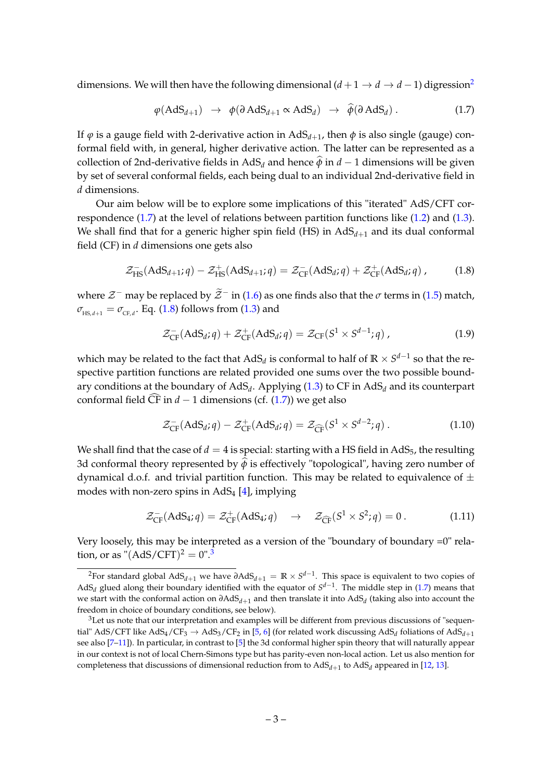dimensions. We will then have the following dimensional  $(d+1 \rightarrow d \rightarrow d-1)$  digression<sup>[2](#page-3-0)</sup>

<span id="page-3-1"></span>
$$
\varphi(\text{AdS}_{d+1}) \rightarrow \varphi(\partial \text{AdS}_{d+1} \propto \text{AdS}_d) \rightarrow \widehat{\varphi}(\partial \text{AdS}_d). \tag{1.7}
$$

If  $\varphi$  is a gauge field with 2-derivative action in AdS<sub>d+1</sub>, then  $\phi$  is also single (gauge) conformal field with, in general, higher derivative action. The latter can be represented as a collection of 2nd-derivative fields in AdS<sub>*d*</sub> and hence  $\hat{\phi}$  in *d* − 1 dimensions will be given by set of several conformal fields, each being dual to an individual 2nd-derivative field in *d* dimensions.

Our aim below will be to explore some implications of this "iterated" AdS/CFT correspondence  $(1.7)$  at the level of relations between partition functions like  $(1.2)$  and  $(1.3)$ . We shall find that for a generic higher spin field (HS) in  $AdS_{d+1}$  and its dual conformal field (CF) in *d* dimensions one gets also

<span id="page-3-2"></span>
$$
\mathcal{Z}_{\text{HS}}^{-}(AdS_{d+1}; q) - \mathcal{Z}_{\text{HS}}^{+}(AdS_{d+1}; q) = \mathcal{Z}_{\text{CF}}^{-}(AdS_{d}; q) + \mathcal{Z}_{\text{CF}}^{+}(AdS_{d}; q) ,\qquad (1.8)
$$

where  $\mathcal{Z}^-$  may be replaced by  $\widetilde{\mathcal{Z}}^-$  in [\(1.6\)](#page-2-2) as one finds also that the  $\sigma$  terms in [\(1.5\)](#page-2-2) match,  $\sigma_{_{\text{HS}, d+1}} = \sigma_{_{\text{CF}, d}}$ . Eq. [\(1.8\)](#page-3-2) follows from [\(1.3\)](#page-2-2) and

$$
\mathcal{Z}_{CF}^{-}(AdS_d; q) + \mathcal{Z}_{CF}^{+}(AdS_d; q) = \mathcal{Z}_{CF}(S^1 \times S^{d-1}; q) , \qquad (1.9)
$$

which may be related to the fact that  $\mathrm{AdS}_d$  is conformal to half of  $\mathbb{R}\times S^{d-1}$  so that the respective partition functions are related provided one sums over the two possible boundary conditions at the boundary of AdS*<sup>d</sup>* . Applying [\(1.3\)](#page-2-2) to CF in AdS*<sup>d</sup>* and its counterpart conformal field  $\widehat{CF}$  in *d* − 1 dimensions (cf. [\(1.7\)](#page-3-1)) we get also

$$
\mathcal{Z}_{\text{CF}}^{-}(AdS_d; q) - \mathcal{Z}_{\text{CF}}^{+}(AdS_d; q) = \mathcal{Z}_{\widehat{\text{CF}}}(S^1 \times S^{d-2}; q) . \tag{1.10}
$$

We shall find that the case of  $d = 4$  is special: starting with a HS field in AdS<sub>5</sub>, the resulting 3d conformal theory represented by  $\hat{\phi}$  is effectively "topological", having zero number of dynamical d.o.f. and trivial partition function. This may be related to equivalence of  $\pm$ modes with non-zero spins in  $AdS_4$  [\[4\]](#page-24-3), implying

<span id="page-3-4"></span>
$$
\mathcal{Z}_{\text{CF}}^{-}(AdS_4; q) = \mathcal{Z}_{\text{CF}}^{+}(AdS_4; q) \rightarrow \mathcal{Z}_{\widehat{\text{CF}}}(S^1 \times S^2; q) = 0.
$$
 (1.11)

Very loosely, this may be interpreted as a version of the "boundary of boundary =0" relation, or as " $(AdS/CFT)^2 = 0$ ".<sup>[3](#page-3-3)</sup>

<span id="page-3-0"></span><sup>2</sup>For standard global AdS*d*+<sup>1</sup> we have *∂*AdS*d*+<sup>1</sup> = **R** × *S d*−1 . This space is equivalent to two copies of AdS<sub>*d*</sub> glued along their boundary identified with the equator of  $S^{d-1}$ . The middle step in [\(1.7\)](#page-3-1) means that we start with the conformal action on *∂*AdS*d*+<sup>1</sup> and then translate it into AdS*<sup>d</sup>* (taking also into account the freedom in choice of boundary conditions, see below).

<span id="page-3-3"></span> $3$ Let us note that our interpretation and examples will be different from previous discussions of "sequential" AdS/CFT like AdS<sub>4</sub>/CF<sub>3</sub>  $\rightarrow$  AdS<sub>3</sub>/CF<sub>2</sub> in [\[5,](#page-24-4) [6\]](#page-24-5) (for related work discussing AdS<sub>d</sub> foliations of AdS<sub>d+1</sub> see also [7-[11\]](#page-24-7)). In particular, in contrast to [\[5\]](#page-24-4) the 3d conformal higher spin theory that will naturally appear in our context is not of local Chern-Simons type but has parity-even non-local action. Let us also mention for completeness that discussions of dimensional reduction from to  $\mathrm{AdS}_{d+1}$  to  $\mathrm{AdS}_d$  appeared in [\[12,](#page-25-0) [13\]](#page-25-1).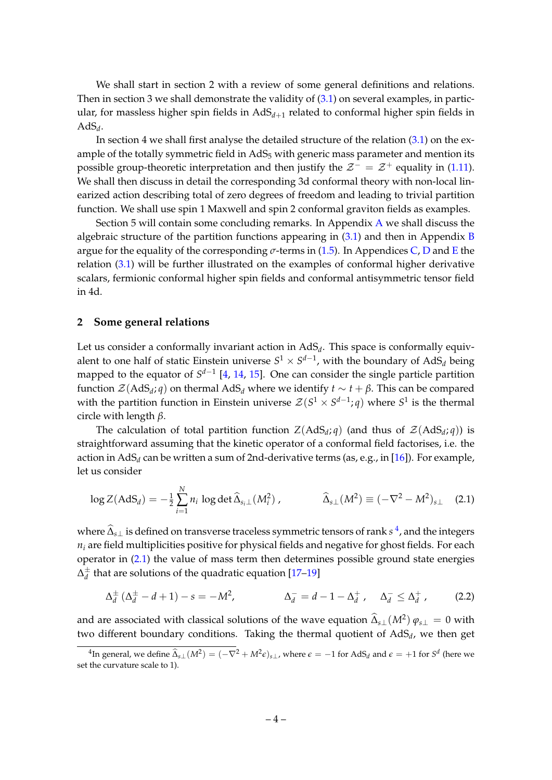We shall start in section 2 with a review of some general definitions and relations. Then in section 3 we shall demonstrate the validity of  $(3.1)$  on several examples, in particular, for massless higher spin fields in  $AdS_{d+1}$  related to conformal higher spin fields in  $AdS_d$ .

In section 4 we shall first analyse the detailed structure of the relation [\(3.1\)](#page-6-3) on the example of the totally symmetric field in  $AdS_5$  with generic mass parameter and mention its possible group-theoretic interpretation and then justify the  $\mathcal{Z}^- = \mathcal{Z}^+$  equality in [\(1.11\)](#page-3-4). We shall then discuss in detail the corresponding 3d conformal theory with non-local linearized action describing total of zero degrees of freedom and leading to trivial partition function. We shall use spin 1 Maxwell and spin 2 conformal graviton fields as examples.

Section 5 will contain some concluding remarks. In Appendix [A](#page-17-0) we shall discuss the algebraic structure of the partition functions appearing in  $(3.1)$  and then in Appendix [B](#page-19-0) argue for the equality of the corresponding  $\sigma$ -terms in [\(1.5\)](#page-2-2). In Appendices [C,](#page-19-1) [D](#page-21-1) and [E](#page-22-0) the relation [\(3.1\)](#page-6-3) will be further illustrated on the examples of conformal higher derivative scalars, fermionic conformal higher spin fields and conformal antisymmetric tensor field in 4d.

#### <span id="page-4-0"></span>**2 Some general relations**

Let us consider a conformally invariant action in AdS*<sup>d</sup>* . This space is conformally equivalent to one half of static Einstein universe  $S^1 \times S^{d-1}$ , with the boundary of AdS<sub>d</sub> being mapped to the equator of *S<sup>d−1</sup>* [\[4,](#page-24-3) [14,](#page-25-2) [15\]](#page-25-3). One can consider the single particle partition function  $\mathcal{Z}(\text{AdS}_d; q)$  on thermal  $\text{AdS}_d$  where we identify  $t \sim t + \beta$ . This can be compared with the partition function in Einstein universe  $\mathcal{Z}(S^1 \times S^{d-1}; q)$  where  $S^1$  is the thermal circle with length *β*.

The calculation of total partition function  $Z(AdS_d; q)$  (and thus of  $\mathcal{Z}(AdS_d; q)$ ) is straightforward assuming that the kinetic operator of a conformal field factorises, i.e. the action in AdS<sub>*d*</sub> can be written a sum of 2nd-derivative terms (as, e.g., in [\[16\]](#page-25-4)). For example, let us consider

<span id="page-4-2"></span>
$$
\log Z(\text{AdS}_d) = -\frac{1}{2} \sum_{i=1}^N n_i \log \det \widehat{\Delta}_{s_i \perp} (M_i^2) , \qquad \widehat{\Delta}_{s \perp} (M^2) \equiv (-\nabla^2 - M^2)_{s \perp} \quad (2.1)
$$

where  $\hat{\Delta}_{s\perp}$  is defined on transverse traceless symmetric tensors of rank *s*<sup>[4](#page-4-1)</sup>, and the integers  $n_i$  are field multiplicities positive for physical fields and negative for ghost fields. For each operator in [\(2.1\)](#page-4-2) the value of mass term then determines possible ground state energies  $\Delta_d^{\pm}$  $\frac{1}{d}$  that are solutions of the quadratic equation  $[17-19]$  $[17-19]$ 

<span id="page-4-3"></span>
$$
\Delta_d^{\pm} (\Delta_d^{\pm} - d + 1) - s = -M^2, \qquad \Delta_d^- = d - 1 - \Delta_d^+, \quad \Delta_d^- \le \Delta_d^+, \qquad (2.2)
$$

and are associated with classical solutions of the wave equation  $\widehat{\Delta}_{s\perp}(M^2) \varphi_{s\perp} = 0$  with two different boundary conditions. Taking the thermal quotient of AdS<sub>d</sub>, we then get

<span id="page-4-1"></span><sup>&</sup>lt;sup>4</sup>In general, we define  $\hat{\Delta}_{s\perp}(M^2) = (-\nabla^2 + M^2 \epsilon)_{s\perp}$ , where  $\epsilon = -1$  for AdS<sub>*d*</sub> and  $\epsilon = +1$  for  $S^d$  (here we set the curvature scale to 1).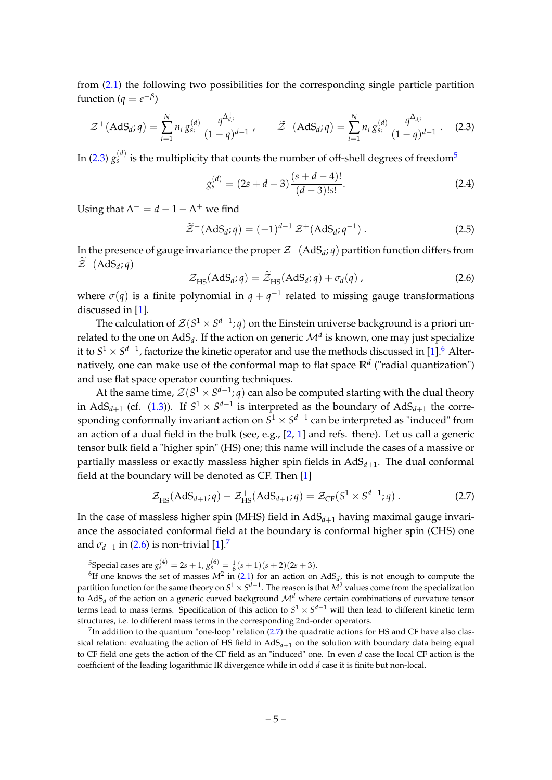from [\(2.1\)](#page-4-2) the following two possibilities for the corresponding single particle partition function ( $q = e^{-\beta}$ )

<span id="page-5-0"></span>
$$
\mathcal{Z}^+(\text{AdS}_d; q) = \sum_{i=1}^N n_i g_{s_i}^{(d)} \frac{q^{\Delta_{d,i}^+}}{(1-q)^{d-1}}, \qquad \widetilde{\mathcal{Z}}^-(\text{AdS}_d; q) = \sum_{i=1}^N n_i g_{s_i}^{(d)} \frac{q^{\Delta_{d,i}^-}}{(1-q)^{d-1}}.
$$
 (2.3)

In [\(2.3\)](#page-5-0)  $g_{s}^{(d)}$  is the multiplicity that counts the number of off-shell degrees of freedom $^5$  $^5$ 

<span id="page-5-7"></span>
$$
g_s^{(d)} = (2s + d - 3) \frac{(s + d - 4)!}{(d - 3)!s!}.
$$
\n(2.4)

Using that  $\Delta^- = d - 1 - \Delta^+$  we find

<span id="page-5-6"></span>
$$
\widetilde{\mathcal{Z}}^{-}\left(\text{AdS}_d; q\right) = (-1)^{d-1} \mathcal{Z}^+\left(\text{AdS}_d; q^{-1}\right). \tag{2.5}
$$

In the presence of gauge invariance the proper Z−(AdS*<sup>d</sup>* ; *q*) partition function differs from  $\widetilde{\mathcal{Z}}^{-}(\text{AdS}_d; q)$ 

<span id="page-5-3"></span>
$$
\mathcal{Z}_{\text{HS}}^-(\text{AdS}_d; q) = \widetilde{\mathcal{Z}}_{\text{HS}}^-(\text{AdS}_d; q) + \sigma_d(q) , \qquad (2.6)
$$

where  $\sigma(q)$  is a finite polynomial in  $q + q^{-1}$  related to missing gauge transformations discussed in [\[1\]](#page-24-0).

The calculation of  $\mathcal{Z}(S^1 \times S^{d-1};q)$  on the Einstein universe background is a priori unrelated to the one on  $\mathrm{AdS}_{d}.$  If the action on generic  $\mathcal{M}^{d}$  is known, one may just specialize it to  $S^1 \times S^{d-1}$ , factorize the kinetic operator and use the methods discussed in [\[1\]](#page-24-0).<sup>[6](#page-5-2)</sup> Alternatively, one can make use of the conformal map to flat space **R***<sup>d</sup>* ("radial quantization") and use flat space operator counting techniques.

At the same time,  $\mathcal{Z}(S^1 \times S^{d-1}; q)$  can also be computed starting with the dual theory in AdS<sub>*d*+1</sub> (cf. [\(1.3\)](#page-2-2)). If  $S^1 \times S^{d-1}$  is interpreted as the boundary of AdS<sub>*d*+1</sub> the corresponding conformally invariant action on  $S^1 \times S^{d-1}$  can be interpreted as "induced" from an action of a dual field in the bulk (see, e.g.,  $[2, 1]$  $[2, 1]$  $[2, 1]$  and refs. there). Let us call a generic tensor bulk field a "higher spin" (HS) one; this name will include the cases of a massive or partially massless or exactly massless higher spin fields in AdS<sub>d+1</sub>. The dual conformal field at the boundary will be denoted as CF. Then [\[1\]](#page-24-0)

<span id="page-5-5"></span>
$$
\mathcal{Z}_{\text{HS}}^-(\text{AdS}_{d+1}; q) - \mathcal{Z}_{\text{HS}}^+(\text{AdS}_{d+1}; q) = \mathcal{Z}_{\text{CF}}(S^1 \times S^{d-1}; q) \,. \tag{2.7}
$$

In the case of massless higher spin (MHS) field in  $AdS<sub>d+1</sub>$  having maximal gauge invariance the associated conformal field at the boundary is conformal higher spin (CHS) one and  $\sigma_{d+1}$  in [\(2.6\)](#page-5-3) is non-trivial [\[1\]](#page-24-0).<sup>[7](#page-5-4)</sup>

<span id="page-5-2"></span><span id="page-5-1"></span><sup>&</sup>lt;sup>5</sup>Special cases are  $g_s^{(4)} = 2s + 1$ ,  $g_s^{(6)} = \frac{1}{6}(s + 1)(s + 2)(2s + 3)$ .

because the set of masses  $M^2$  in [\(2.1\)](#page-4-2) for an action on AdS<sub>d</sub>, this is not enough to compute the partition function for the same theory on  $S^1\times S^{d-1}.$  The reason is that  $M^2$  values come from the specialization to AdS<sub>*d*</sub> of the action on a generic curved background  $\mathcal{M}^d$  where certain combinations of curvature tensor terms lead to mass terms. Specification of this action to  $S^1 \times S^{d-1}$  will then lead to different kinetic term structures, i.e. to different mass terms in the corresponding 2nd-order operators.

<span id="page-5-4"></span> $^{7}$ In addition to the quantum "one-loop" relation [\(2.7\)](#page-5-5) the quadratic actions for HS and CF have also classical relation: evaluating the action of HS field in AdS*d*+<sup>1</sup> on the solution with boundary data being equal to CF field one gets the action of the CF field as an "induced" one. In even *d* case the local CF action is the coefficient of the leading logarithmic IR divergence while in odd *d* case it is finite but non-local.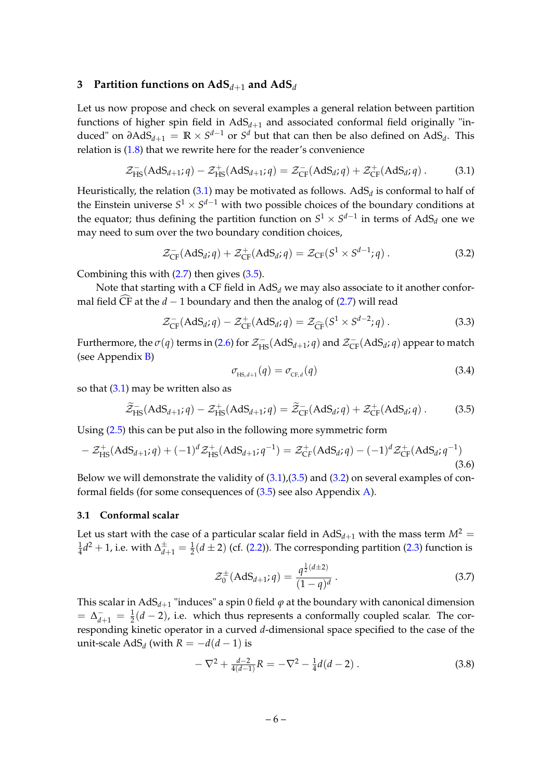#### <span id="page-6-0"></span>**3 Partition functions on AdS***d*+<sup>1</sup> **and AdS***<sup>d</sup>*

Let us now propose and check on several examples a general relation between partition functions of higher spin field in  $AdS_{d+1}$  and associated conformal field originally "induced" on  $\partial \text{AdS}_{d+1} = \mathbb{R} \times S^{d-1}$  or  $S^d$  but that can then be also defined on  $\text{AdS}_d$ . This relation is [\(1.8\)](#page-3-2) that we rewrite here for the reader's convenience

<span id="page-6-3"></span>
$$
\mathcal{Z}_{\text{HS}}^-(\text{AdS}_{d+1};q) - \mathcal{Z}_{\text{HS}}^+(\text{AdS}_{d+1};q) = \mathcal{Z}_{\text{CF}}^-(\text{AdS}_d;q) + \mathcal{Z}_{\text{CF}}^+(\text{AdS}_d;q) \,. \tag{3.1}
$$

Heuristically, the relation [\(3.1\)](#page-6-3) may be motivated as follows.  $\mathrm{AdS}_d$  is conformal to half of the Einstein universe  $S^1 \times S^{d-1}$  with two possible choices of the boundary conditions at the equator; thus defining the partition function on  $S^1 \times S^{d-1}$  in terms of AdS<sub>d</sub> one we may need to sum over the two boundary condition choices,

<span id="page-6-5"></span>
$$
\mathcal{Z}_{CF}^{-}(AdS_d; q) + \mathcal{Z}_{CF}^{+}(AdS_d; q) = \mathcal{Z}_{CF}(S^1 \times S^{d-1}; q) . \qquad (3.2)
$$

Combining this with  $(2.7)$  then gives  $(3.5)$ .

Note that starting with a CF field in  $AdS_d$  we may also associate to it another conformal field  $\widehat{CF}$  at the *d* − 1 boundary and then the analog of [\(2.7\)](#page-5-5) will read

<span id="page-6-7"></span>
$$
\mathcal{Z}_{CF}^{-}(AdS_d; q) - \mathcal{Z}_{CF}^{+}(AdS_d; q) = \mathcal{Z}_{\widehat{CF}}(S^1 \times S^{d-2}; q) . \tag{3.3}
$$

Furthermore, the  $\sigma(q)$  terms in [\(2.6\)](#page-5-3) for  $\mathcal{Z}_{\text{HS}}^-(\text{AdS}_{d+1};q)$  and  $\mathcal{Z}_{\text{CF}}^-(\text{AdS}_d;q)$  appear to match (see Appendix [B\)](#page-19-0)

<span id="page-6-2"></span>
$$
\sigma_{\text{HS},d+1}(q) = \sigma_{\text{CF},d}(q) \tag{3.4}
$$

so that  $(3.1)$  may be written also as

<span id="page-6-4"></span>
$$
\widetilde{\mathcal{Z}}_{\text{HS}}^{-}(\text{AdS}_{d+1}; q) - \mathcal{Z}_{\text{HS}}^{+}(\text{AdS}_{d+1}; q) = \widetilde{\mathcal{Z}}_{\text{CF}}^{-}(\text{AdS}_{d}; q) + \mathcal{Z}_{\text{CF}}^{+}(\text{AdS}_{d}; q) . \tag{3.5}
$$

Using [\(2.5\)](#page-5-6) this can be put also in the following more symmetric form

<span id="page-6-8"></span>
$$
-Z_{\text{HS}}^{+}(\text{AdS}_{d+1}; q) + (-1)^{d} Z_{\text{HS}}^{+}(\text{AdS}_{d+1}; q^{-1}) = Z_{\text{CF}}^{+}(\text{AdS}_{d}; q) - (-1)^{d} Z_{\text{CF}}^{+}(\text{AdS}_{d}; q^{-1})
$$
\n(3.6)

Below we will demonstrate the validity of  $(3.1)$ , $(3.5)$  and  $(3.2)$  on several examples of conformal fields (for some consequences of [\(3.5\)](#page-6-4) see also Appendix [A\)](#page-17-0).

#### <span id="page-6-1"></span>**3.1 Conformal scalar**

Let us start with the case of a particular scalar field in  $AdS_{d+1}$  with the mass term  $M^2 =$ 1  $\frac{1}{4}d^2+1$ , i.e. with  $\Delta^{\pm}_{d+1}=\frac{1}{2}(d\pm2)$  (cf. [\(2.2\)](#page-4-3)). The corresponding partition [\(2.3\)](#page-5-0) function is

<span id="page-6-6"></span>
$$
\mathcal{Z}_0^{\pm}(\text{AdS}_{d+1}; q) = \frac{q^{\frac{1}{2}(d\pm 2)}}{(1-q)^d}.
$$
 (3.7)

This scalar in AdS $_{d+1}$  "induces" a spin 0 field  $\varphi$  at the boundary with canonical dimension  $=$   $\Delta_{d+1}^-$  =  $\frac{1}{2}(d-2)$ , i.e. which thus represents a conformally coupled scalar. The corresponding kinetic operator in a curved *d*-dimensional space specified to the case of the unit-scale  $AdS_d$  (with  $R = -d(d-1)$  is

$$
-\nabla^2 + \frac{d-2}{4(d-1)}R = -\nabla^2 - \frac{1}{4}d(d-2) \,. \tag{3.8}
$$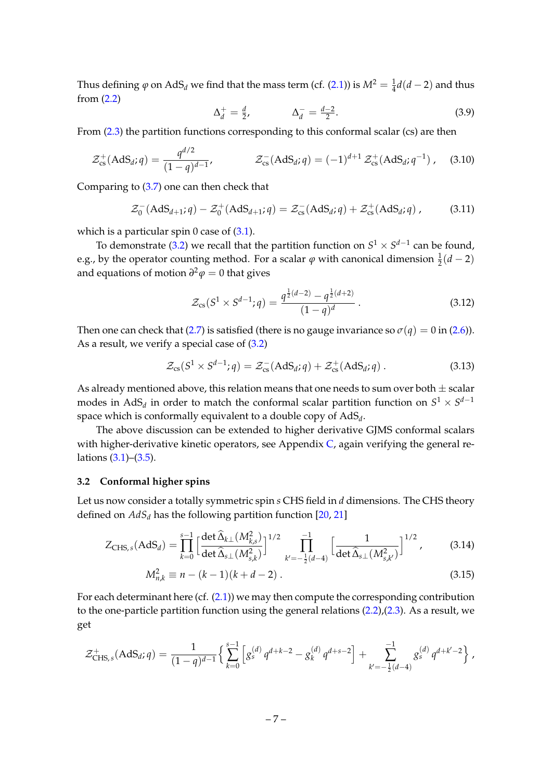Thus defining  $\varphi$  on AdS<sub>*d*</sub> we find that the mass term (cf. [\(2.1\)](#page-4-2)) is  $M^2 = \frac{1}{4}d(d-2)$  and thus from [\(2.2\)](#page-4-3)

$$
\Delta_d^+ = \frac{d}{2}, \qquad \Delta_d^- = \frac{d-2}{2}.
$$
\n(3.9)

From [\(2.3\)](#page-5-0) the partition functions corresponding to this conformal scalar (cs) are then

<span id="page-7-3"></span>
$$
\mathcal{Z}_{cs}^{+}(AdS_d; q) = \frac{q^{d/2}}{(1-q)^{d-1}}, \qquad \mathcal{Z}_{cs}^{-}(AdS_d; q) = (-1)^{d+1} \mathcal{Z}_{cs}^{+}(AdS_d; q^{-1}), \quad (3.10)
$$

Comparing to [\(3.7\)](#page-6-6) one can then check that

$$
\mathcal{Z}_0^-(\text{AdS}_{d+1};q) - \mathcal{Z}_0^+(\text{AdS}_{d+1};q) = \mathcal{Z}_{cs}^-(\text{AdS}_d;q) + \mathcal{Z}_{cs}^+(\text{AdS}_d;q) ,\qquad(3.11)
$$

which is a particular spin 0 case of  $(3.1)$ .

To demonstrate [\(3.2\)](#page-6-5) we recall that the partition function on  $S^1 \times S^{d-1}$  can be found, e.g., by the operator counting method. For a scalar  $\varphi$  with canonical dimension  $\frac{1}{2}(d-2)$ and equations of motion *∂* <sup>2</sup>*ϕ* = 0 that gives

$$
\mathcal{Z}_{\text{cs}}(S^1 \times S^{d-1}; q) = \frac{q^{\frac{1}{2}(d-2)} - q^{\frac{1}{2}(d+2)}}{(1-q)^d} \,. \tag{3.12}
$$

Then one can check that [\(2.7\)](#page-5-5) is satisfied (there is no gauge invariance so  $\sigma(q) = 0$  in [\(2.6\)](#page-5-3)). As a result, we verify a special case of [\(3.2\)](#page-6-5)

$$
\mathcal{Z}_{\text{cs}}(S^1 \times S^{d-1}; q) = \mathcal{Z}_{\text{cs}}^{-}(AdS_d; q) + \mathcal{Z}_{\text{cs}}^{+}(AdS_d; q) . \qquad (3.13)
$$

As already mentioned above, this relation means that one needs to sum over both  $\pm$  scalar modes in AdS<sub>d</sub> in order to match the conformal scalar partition function on  $S^1 \times S^{d-1}$ space which is conformally equivalent to a double copy of AdS*<sup>d</sup>* .

The above discussion can be extended to higher derivative GJMS conformal scalars with higher-derivative kinetic operators, see Appendix  $C$ , again verifying the general relations [\(3.1\)](#page-6-3)–[\(3.5\)](#page-6-4).

#### <span id="page-7-0"></span>**3.2 Conformal higher spins**

Let us now consider a totally symmetric spin *s* CHS field in *d* dimensions. The CHS theory defined on  $AdS_d$  has the following partition function [\[20,](#page-25-7) [21\]](#page-25-8)

$$
Z_{\text{CHS},s}(\text{AdS}_d) = \prod_{k=0}^{s-1} \left[ \frac{\det \widehat{\Delta}_{k\perp} (M_{k,s}^2)}{\det \widehat{\Delta}_{s\perp} (M_{s,k}^2)} \right]^{1/2} \prod_{k'=-\frac{1}{2}(d-4)}^{-1} \left[ \frac{1}{\det \widehat{\Delta}_{s\perp} (M_{s,k'}^2)} \right]^{1/2},\tag{3.14}
$$

<span id="page-7-2"></span><span id="page-7-1"></span>
$$
M_{n,k}^2 \equiv n - (k-1)(k+d-2) \,. \tag{3.15}
$$

For each determinant here  $(cf. (2.1))$  $(cf. (2.1))$  $(cf. (2.1))$  we may then compute the corresponding contribution to the one-particle partition function using the general relations  $(2.2)$ , $(2.3)$ . As a result, we get

$$
\mathcal{Z}_{\text{CHS},s}^{+}(AdS_d;q) = \frac{1}{(1-q)^{d-1}} \left\{ \sum_{k=0}^{s-1} \left[ g_s^{(d)} q^{d+k-2} - g_k^{(d)} q^{d+s-2} \right] + \sum_{k'=-\frac{1}{2}(d-4)}^{-1} g_s^{(d)} q^{d+k'-2} \right\},
$$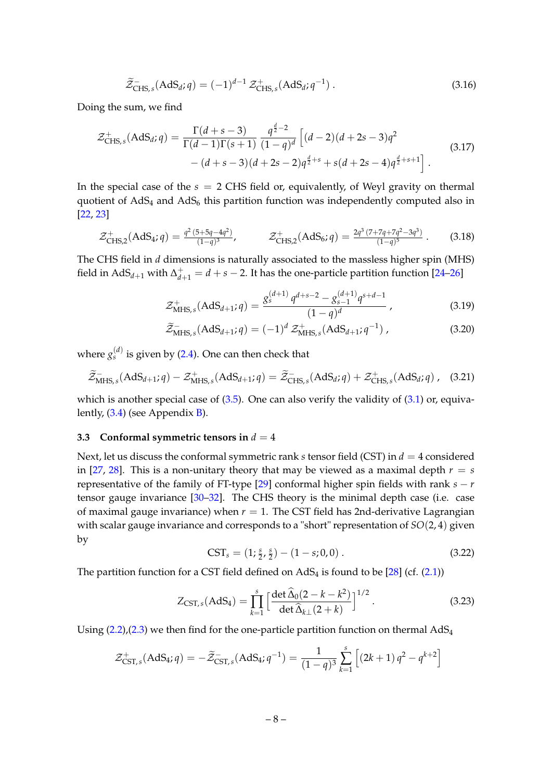$$
\widetilde{\mathcal{Z}}_{CHS,s}^{-}(AdS_d; q) = (-1)^{d-1} \mathcal{Z}_{CHS,s}^{+}(AdS_d; q^{-1}).
$$
\n(3.16)

Doing the sum, we find

<span id="page-8-3"></span>
$$
\mathcal{Z}_{\text{CHS},s}^{+}(AdS_d; q) = \frac{\Gamma(d+s-3)}{\Gamma(d-1)\Gamma(s+1)} \frac{q^{\frac{d}{2}-2}}{(1-q)^d} \left[ (d-2)(d+2s-3)q^2 - (d+s-3)(d+2s-2)q^{\frac{d}{2}+s} + s(d+2s-4)q^{\frac{d}{2}+s+1} \right].
$$
\n(3.17)

In the special case of the *s* = 2 CHS field or, equivalently, of Weyl gravity on thermal quotient of  $AdS_4$  and  $AdS_6$  this partition function was independently computed also in [\[22,](#page-25-9) [23\]](#page-25-10)

$$
\mathcal{Z}_{CHS,2}^{+}(AdS_4; q) = \frac{q^2 (5+5q-4q^2)}{(1-q)^3}, \qquad \mathcal{Z}_{CHS,2}^{+}(AdS_6; q) = \frac{2q^3 (7+7q+7q^2-3q^3)}{(1-q)^5}.
$$
 (3.18)

The CHS field in *d* dimensions is naturally associated to the massless higher spin (MHS) field in  $AdS_{d+1}$  with  $\Delta_{d+1}^+ = d+s-2$ . It has the one-particle partition function [\[24–](#page-25-11)[26\]](#page-25-12)

$$
\mathcal{Z}_{\text{MHS},s}^{+}(AdS_{d+1};q) = \frac{g_s^{(d+1)}q^{d+s-2} - g_{s-1}^{(d+1)}q^{s+d-1}}{(1-q)^d},\tag{3.19}
$$

<span id="page-8-5"></span>
$$
\widetilde{\mathcal{Z}}_{\text{MHS},s}^{-}(AdS_{d+1};q) = (-1)^{d} \mathcal{Z}_{\text{MHS},s}^{+}(AdS_{d+1};q^{-1}), \qquad (3.20)
$$

where  $g_s^{(d)}$  is given by [\(2.4\)](#page-5-7). One can then check that

$$
\widetilde{\mathcal{Z}}_{\mathrm{MHS},s}^{-}(AdS_{d+1};q) - \mathcal{Z}_{\mathrm{MHS},s}^{+}(AdS_{d+1};q) = \widetilde{\mathcal{Z}}_{\mathrm{CHS},s}^{-}(AdS_{d};q) + \mathcal{Z}_{\mathrm{CHS},s}^{+}(AdS_{d};q) , \quad (3.21)
$$

which is another special case of  $(3.5)$ . One can also verify the validity of  $(3.1)$  or, equivalently, [\(3.4\)](#page-6-2) (see Appendix [B\)](#page-19-0).

#### <span id="page-8-0"></span>**3.3 Conformal symmetric tensors in**  $d = 4$

Next, let us discuss the conformal symmetric rank *s* tensor field (CST) in *d* = 4 considered in [\[27,](#page-25-13) [28\]](#page-25-14). This is a non-unitary theory that may be viewed as a maximal depth  $r = s$ representative of the family of FT-type  $[29]$  conformal higher spin fields with rank  $s - r$ tensor gauge invariance [\[30](#page-25-16)[–32\]](#page-25-17). The CHS theory is the minimal depth case (i.e. case of maximal gauge invariance) when  $r = 1$ . The CST field has 2nd-derivative Lagrangian with scalar gauge invariance and corresponds to a "short" representation of *SO*(2, 4) given by

<span id="page-8-1"></span>
$$
CSTs = (1; \frac{s}{2}, \frac{s}{2}) - (1 - s; 0, 0).
$$
 (3.22)

The partition function for a CST field defined on  $AdS_4$  is found to be [\[28\]](#page-25-14) (cf. [\(2.1\)](#page-4-2))

<span id="page-8-4"></span>
$$
Z_{\text{CST},s}(\text{AdS}_4) = \prod_{k=1}^{s} \left[ \frac{\det \widehat{\Delta}_0 (2 - k - k^2)}{\det \widehat{\Delta}_{k\perp} (2 + k)} \right]^{1/2}.
$$
 (3.23)

Using  $(2.2)$ , $(2.3)$  we then find for the one-particle partition function on thermal AdS<sub>4</sub>

<span id="page-8-2"></span>
$$
\mathcal{Z}_{\text{CST},s}^{+}(\text{AdS}_4; q) = -\widetilde{\mathcal{Z}}_{\text{CST},s}^{-}(\text{AdS}_4; q^{-1}) = \frac{1}{(1-q)^3} \sum_{k=1}^{s} \left[ (2k+1) q^2 - q^{k+2} \right]
$$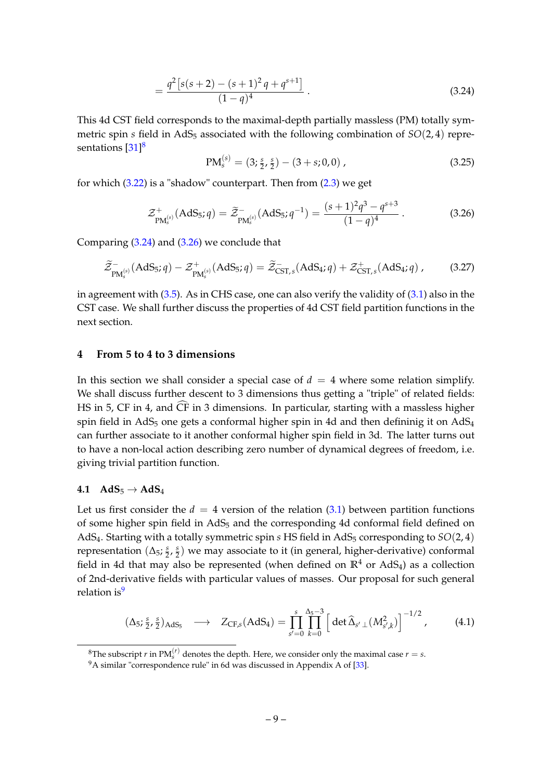$$
= \frac{q^2 [s(s+2) - (s+1)^2 q + q^{s+1}]}{(1-q)^4}.
$$
\n(3.24)

This 4d CST field corresponds to the maximal-depth partially massless (PM) totally symmetric spin *s* field in AdS<sub>5</sub> associated with the following combination of  $SO(2, 4)$  repre-sentations [\[31\]](#page-25-18)<sup>[8](#page-9-2)</sup>

$$
PM_s^{(s)} = (3; \frac{s}{2}, \frac{s}{2}) - (3+s; 0, 0) ,
$$
 (3.25)

for which [\(3.22\)](#page-8-1) is a "shadow" counterpart. Then from [\(2.3\)](#page-5-0) we get

<span id="page-9-3"></span>
$$
\mathcal{Z}_{\text{PM}_s^{(s)}}^+\text{(AdS}_5; q) = \tilde{\mathcal{Z}}_{\text{PM}_s^{(s)}}^-\text{(AdS}_5; q^{-1}) = \frac{(s+1)^2 q^3 - q^{s+3}}{(1-q)^4} \,. \tag{3.26}
$$

Comparing [\(3.24\)](#page-8-2) and [\(3.26\)](#page-9-3) we conclude that

$$
\widetilde{\mathcal{Z}}_{\text{PM}_s^{(s)}}(AdS_5; q) - \mathcal{Z}_{\text{PM}_s^{(s)}}^+(AdS_5; q) = \widetilde{\mathcal{Z}}_{\text{CST},s}^-(AdS_4; q) + \mathcal{Z}_{\text{CST},s}^+(AdS_4; q) ,\qquad(3.27)
$$

in agreement with  $(3.5)$ . As in CHS case, one can also verify the validity of  $(3.1)$  also in the CST case. We shall further discuss the properties of 4d CST field partition functions in the next section.

#### <span id="page-9-0"></span>**4 From 5 to 4 to 3 dimensions**

In this section we shall consider a special case of  $d = 4$  where some relation simplify. We shall discuss further descent to 3 dimensions thus getting a "triple" of related fields: HS in 5, CF in 4, and CF in 3 dimensions. In particular, starting with a massless higher c spin field in  $AdS_5$  one gets a conformal higher spin in 4d and then defininig it on  $AdS_4$ can further associate to it another conformal higher spin field in 3d. The latter turns out to have a non-local action describing zero number of dynamical degrees of freedom, i.e. giving trivial partition function.

#### <span id="page-9-1"></span>**4.1**  $AdS_5 \rightarrow AdS_4$

Let us first consider the  $d = 4$  version of the relation [\(3.1\)](#page-6-3) between partition functions of some higher spin field in AdS<sup>5</sup> and the corresponding 4d conformal field defined on AdS<sub>4</sub>. Starting with a totally symmetric spin *s* HS field in AdS<sub>5</sub> corresponding to *SO*(2,4) representation (∆5; *s*  $\frac{s}{2}$ ,  $\frac{s}{2}$  $\frac{s}{2}$ ) we may associate to it (in general, higher-derivative) conformal field in 4d that may also be represented (when defined on  $\mathbb{R}^4$  or AdS<sub>4</sub>) as a collection of 2nd-derivative fields with particular values of masses. Our proposal for such general relation is $9$ 

$$
(\Delta_5; \frac{s}{2}, \frac{s}{2})_{AdS_5} \longrightarrow Z_{CF,s}(AdS_4) = \prod_{s'=0}^{s} \prod_{k=0}^{\Delta_5 - 3} \left[ \det \widehat{\Delta}_{s' \perp} (M_{s',k}^2) \right]^{-1/2}, \quad (4.1)
$$

<span id="page-9-5"></span><span id="page-9-2"></span> ${}^{8}$ The subscript  $r$  in PM $_{s}^{(r)}$  denotes the depth. Here, we consider only the maximal case  $r = s$ .

<span id="page-9-4"></span><sup>&</sup>lt;sup>9</sup>A similar "correspondence rule" in 6d was discussed in Appendix A of [\[33\]](#page-26-0).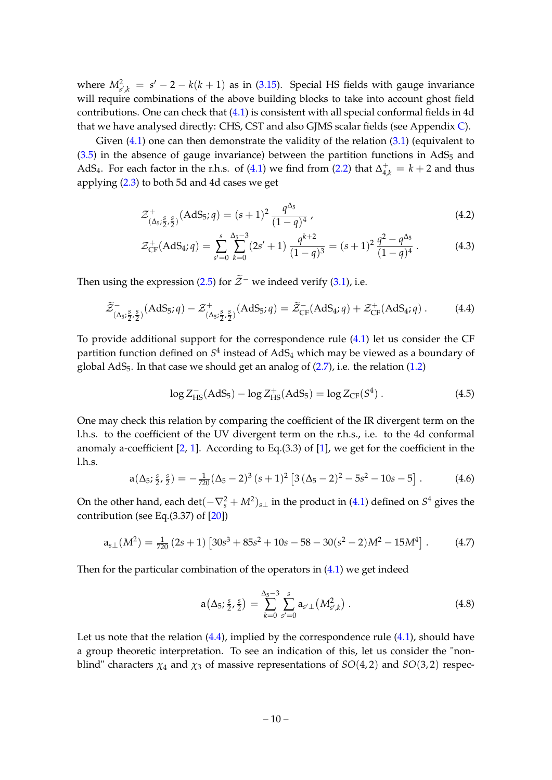where  $M_{s^{\prime},k}^2 = s^{\prime} - 2 - k(k+1)$  as in [\(3.15\)](#page-7-1). Special HS fields with gauge invariance will require combinations of the above building blocks to take into account ghost field contributions. One can check that [\(4.1\)](#page-9-5) is consistent with all special conformal fields in 4d that we have analysed directly: CHS, CST and also GJMS scalar fields (see Appendix [C\)](#page-19-1).

Given  $(4.1)$  one can then demonstrate the validity of the relation  $(3.1)$  (equivalent to  $(3.5)$  in the absence of gauge invariance) between the partition functions in AdS<sub>5</sub> and AdS<sub>4</sub>. For each factor in the r.h.s. of [\(4.1\)](#page-9-5) we find from [\(2.2\)](#page-4-3) that  $\Delta_{4,k}^+ = k + 2$  and thus applying [\(2.3\)](#page-5-0) to both 5d and 4d cases we get

$$
\mathcal{Z}^{+}_{\left(\Delta_{5};\frac{S}{2},\frac{S}{2}\right)}\left(\text{AdS}_{5};q\right) = (s+1)^2 \frac{q^{\Delta_{5}}}{(1-q)^4} \,,\tag{4.2}
$$

<span id="page-10-1"></span>
$$
\mathcal{Z}_{\text{CF}}^+(AdS_4; q) = \sum_{s'=0}^s \sum_{k=0}^{\Delta_5 - 3} (2s' + 1) \frac{q^{k+2}}{(1-q)^3} = (s+1)^2 \frac{q^2 - q^{\Delta_5}}{(1-q)^4}.
$$
 (4.3)

Then using the expression [\(2.5\)](#page-5-6) for  $\tilde{\mathcal{Z}}$ <sup>−</sup> we indeed verify [\(3.1\)](#page-6-3), i.e.

<span id="page-10-0"></span>
$$
\widetilde{\mathcal{Z}}_{\left(\Delta_5; \frac{S}{2}, \frac{S}{2}\right)}^{-}\left(\text{AdS}_5; q\right) - \mathcal{Z}_{\left(\Delta_5; \frac{S}{2}, \frac{S}{2}\right)}^{+}\left(\text{AdS}_5; q\right) = \widetilde{\mathcal{Z}}_{\text{CF}}^{-}\left(\text{AdS}_4; q\right) + \mathcal{Z}_{\text{CF}}^{+}\left(\text{AdS}_4; q\right). \tag{4.4}
$$

To provide additional support for the correspondence rule [\(4.1\)](#page-9-5) let us consider the CF partition function defined on  $S^4$  instead of  ${\rm AdS}_4$  which may be viewed as a boundary of global  $AdS_5$ . In that case we should get an analog of  $(2.7)$ , i.e. the relation  $(1.2)$ 

$$
\log Z_{\rm HS}^-(\text{AdS}_5) - \log Z_{\rm HS}^+(\text{AdS}_5) = \log Z_{\rm CF}(S^4) \,. \tag{4.5}
$$

One may check this relation by comparing the coefficient of the IR divergent term on the l.h.s. to the coefficient of the UV divergent term on the r.h.s., i.e. to the 4d conformal anomaly a-coefficient  $[2, 1]$  $[2, 1]$  $[2, 1]$ . According to Eq.(3.3) of  $[1]$ , we get for the coefficient in the l.h.s.

<span id="page-10-2"></span>
$$
a(\Delta_5; \frac{s}{2}, \frac{s}{2}) = -\frac{1}{720}(\Delta_5 - 2)^3 (s+1)^2 [3(\Delta_5 - 2)^2 - 5s^2 - 10s - 5]. \tag{4.6}
$$

On the other hand, each  $\det(-\nabla_s^2+M^2)_{s\perp}$  in the product in [\(4.1\)](#page-9-5) defined on  $S^4$  gives the contribution (see Eq.(3.37) of [\[20\]](#page-25-7))

<span id="page-10-3"></span>
$$
a_{s\perp}(M^2) = \frac{1}{720} (2s+1) [30s^3 + 85s^2 + 10s - 58 - 30(s^2 - 2)M^2 - 15M^4].
$$
 (4.7)

Then for the particular combination of the operators in  $(4.1)$  we get indeed

$$
a(\Delta_5; \frac{s}{2}, \frac{s}{2}) = \sum_{k=0}^{\Delta_5 - 3} \sum_{s'=0}^s a_{s'\perp} (M_{s',k}^2).
$$
 (4.8)

Let us note that the relation  $(4.4)$ , implied by the correspondence rule  $(4.1)$ , should have a group theoretic interpretation. To see an indication of this, let us consider the "nonblind" characters  $\chi_4$  and  $\chi_3$  of massive representations of *SO*(4,2) and *SO*(3,2) respec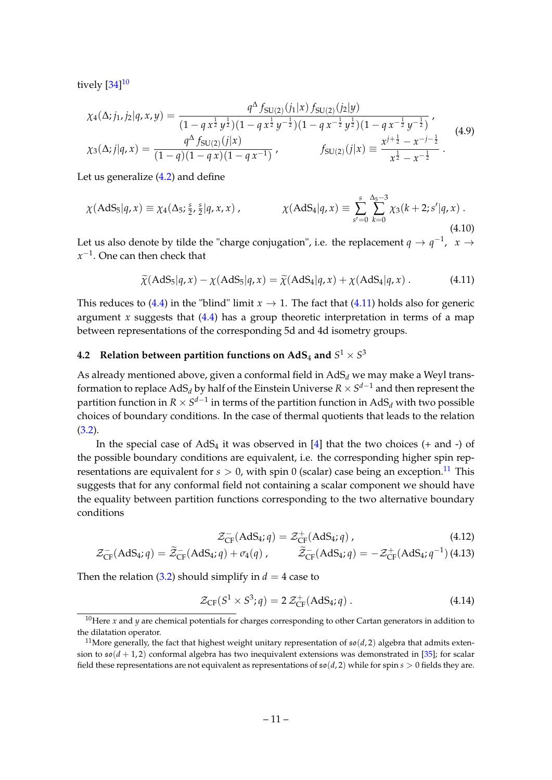tively  $[34]^{10}$  $[34]^{10}$  $[34]^{10}$  $[34]^{10}$ 

$$
\chi_4(\Delta; j_1, j_2 | q, x, y) = \frac{q^{\Delta} f_{SU(2)}(j_1 | x) f_{SU(2)}(j_2 | y)}{(1 - q x^{\frac{1}{2}} y^{\frac{1}{2}})(1 - q x^{\frac{1}{2}} y^{-\frac{1}{2}})(1 - q x^{-\frac{1}{2}} y^{\frac{1}{2}})(1 - q x^{-\frac{1}{2}} y^{-\frac{1}{2}})},
$$
\n
$$
\chi_3(\Delta; j | q, x) = \frac{q^{\Delta} f_{SU(2)}(j | x)}{(1 - q)(1 - q x)(1 - q x^{-1})}, \qquad f_{SU(2)}(j | x) = \frac{x^{j + \frac{1}{2}} - x^{-j - \frac{1}{2}}}{x^{\frac{1}{2}} - x^{-\frac{1}{2}}}.
$$
\n(4.9)

Let us generalize [\(4.2\)](#page-10-1) and define

$$
\chi(\text{AdS}_5|q,x) \equiv \chi_4(\Delta_5; \frac{s}{2}, \frac{s}{2}|q,x,x) , \qquad \chi(\text{AdS}_4|q,x) \equiv \sum_{s'=0}^s \sum_{k=0}^{\Delta_5 - 3} \chi_3(k+2;s'|q,x) .
$$
\n(4.10)

Let us also denote by tilde the "charge conjugation", i.e. the replacement  $q \to q^{-1}$ ,  $x \to$ *x* −1 . One can then check that

<span id="page-11-2"></span>
$$
\widetilde{\chi}(\text{AdS}_5|q,x) - \chi(\text{AdS}_5|q,x) = \widetilde{\chi}(\text{AdS}_4|q,x) + \chi(\text{AdS}_4|q,x) \,. \tag{4.11}
$$

This reduces to [\(4.4\)](#page-10-0) in the "blind" limit  $x \to 1$ . The fact that [\(4.11\)](#page-11-2) holds also for generic argument *x* suggests that  $(4.4)$  has a group theoretic interpretation in terms of a map between representations of the corresponding 5d and 4d isometry groups.

## <span id="page-11-0"></span>**4.2** Relation between partition functions on AdS<sub>4</sub> and  $S^1 \times S^3$

As already mentioned above, given a conformal field in  $AdS_d$  we may make a Weyl transformation to replace  $\mathrm{AdS}_d$  by half of the Einstein Universe  $R\times S^{d-1}$  and then represent the partition function in  $R\times S^{d-1}$  in terms of the partition function in  $\mathrm{AdS}_d$  with two possible choices of boundary conditions. In the case of thermal quotients that leads to the relation  $(3.2).$  $(3.2).$ 

In the special case of  $AdS_4$  it was observed in [\[4\]](#page-24-3) that the two choices (+ and -) of the possible boundary conditions are equivalent, i.e. the corresponding higher spin representations are equivalent for  $s > 0$ , with spin 0 (scalar) case being an exception.<sup>[11](#page-11-3)</sup> This suggests that for any conformal field not containing a scalar component we should have the equality between partition functions corresponding to the two alternative boundary conditions

$$
\mathcal{Z}_{CF}^{-}(AdS_4; q) = \mathcal{Z}_{CF}^{+}(AdS_4; q) , \qquad (4.12)
$$

<span id="page-11-5"></span>
$$
\mathcal{Z}_{CF}^{-}(AdS_4; q) = \widetilde{\mathcal{Z}}_{CF}^{-}(AdS_4; q) + \sigma_4(q) , \qquad \widetilde{\mathcal{Z}}_{CF}^{-}(AdS_4; q) = -\mathcal{Z}_{CF}^{+}(AdS_4; q^{-1}) (4.13)
$$

Then the relation [\(3.2\)](#page-6-5) should simplify in  $d = 4$  case to

<span id="page-11-4"></span>
$$
\mathcal{Z}_{CF}(S^1 \times S^3; q) = 2 \mathcal{Z}_{CF}^+(AdS_4; q).
$$
 (4.14)

<span id="page-11-1"></span><sup>&</sup>lt;sup>10</sup>Here  $x$  and  $y$  are chemical potentials for charges corresponding to other Cartan generators in addition to the dilatation operator.

<span id="page-11-3"></span><sup>&</sup>lt;sup>11</sup>More generally, the fact that highest weight unitary representation of  $\mathfrak{so}(d,2)$  algebra that admits extension to  $\mathfrak{so}(d+1,2)$  conformal algebra has two inequivalent extensions was demonstrated in [\[35\]](#page-26-2); for scalar field these representations are not equivalent as representations of  $\mathfrak{so}(d,2)$  while for spin  $s > 0$  fields they are.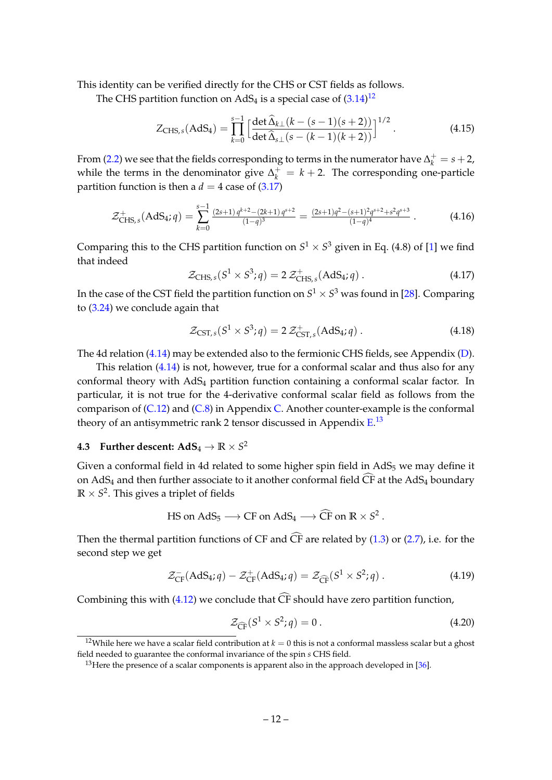This identity can be verified directly for the CHS or CST fields as follows.

The CHS partition function on AdS<sub>4</sub> is a special case of  $(3.14)^{12}$  $(3.14)^{12}$  $(3.14)^{12}$  $(3.14)^{12}$ 

$$
Z_{\text{CHS},s}(\text{AdS}_4) = \prod_{k=0}^{s-1} \left[ \frac{\det \widehat{\Delta}_{k\perp}(k - (s-1)(s+2))}{\det \widehat{\Delta}_{s\perp}(s - (k-1)(k+2))} \right]^{1/2}.
$$
 (4.15)

From [\(2.2\)](#page-4-3) we see that the fields corresponding to terms in the numerator have  $\Delta_k^+ = s + 2$ , while the terms in the denominator give  $\Delta_k^+ = k + 2$ . The corresponding one-particle partition function is then a  $d = 4$  case of  $(3.17)$ 

<span id="page-12-4"></span>
$$
\mathcal{Z}_{CHS,s}^{+}(AdS_4; q) = \sum_{k=0}^{s-1} \frac{(2s+1)q^{k+2} - (2k+1)q^{s+2}}{(1-q)^3} = \frac{(2s+1)q^2 - (s+1)^2q^{s+2} + s^2q^{s+3}}{(1-q)^4}.
$$
 (4.16)

Comparing this to the CHS partition function on  $S^1 \times S^3$  given in Eq. (4.8) of [\[1\]](#page-24-0) we find that indeed

$$
\mathcal{Z}_{\text{CHS},s}(S^1 \times S^3; q) = 2 \mathcal{Z}^+_{\text{CHS},s}(\text{AdS}_4; q) \,. \tag{4.17}
$$

In the case of the CST field the partition function on  $S^1\times S^3$  was found in [\[28\]](#page-25-14). Comparing to [\(3.24\)](#page-8-2) we conclude again that

$$
\mathcal{Z}_{\text{CST},s}(S^1 \times S^3; q) = 2 \mathcal{Z}^+_{\text{CST},s}(\text{AdS}_4; q) \,. \tag{4.18}
$$

The 4d relation [\(4.14\)](#page-11-4) may be extended also to the fermionic CHS fields, see Appendix [\(D\)](#page-21-1).

This relation [\(4.14\)](#page-11-4) is not, however, true for a conformal scalar and thus also for any conformal theory with AdS<sub>4</sub> partition function containing a conformal scalar factor. In particular, it is not true for the 4-derivative conformal scalar field as follows from the comparison of  $(C.12)$  and  $(C.8)$  in Appendix [C.](#page-19-1) Another counter-example is the conformal theory of an antisymmetric rank 2 tensor discussed in Appendix  $\mathrm{E}^{.13}$  $\mathrm{E}^{.13}$  $\mathrm{E}^{.13}$ 

## <span id="page-12-0"></span>**4.3** Further descent:  $\mathbf{AdS}_4 \to \mathbb{R} \times S^2$

Given a conformal field in 4d related to some higher spin field in  $AdS_5$  we may define it on AdS<sub>4</sub> and then further associate to it another conformal field  $\widehat{CF}$  at the AdS<sub>4</sub> boundary  $\mathbb{R} \times S^2.$  This gives a triplet of fields

$$
\text{HS on AdS}_5 \longrightarrow \text{CF on AdS}_4 \longrightarrow \widehat{\text{CF on R}} \times S^2.
$$

Then the thermal partition functions of CF and  $\widehat{CF}$  are related by ([1.3\)](#page-2-2) or [\(2.7\)](#page-5-5), i.e. for the second step we get

$$
\mathcal{Z}_{CF}^{-}(AdS_4; q) - \mathcal{Z}_{CF}^{+}(AdS_4; q) = \mathcal{Z}_{\widehat{CF}}(S^1 \times S^2; q).
$$
\n(4.19)

Combining this with [\(4.12\)](#page-11-5) we conclude that  $\widehat{CF}$  should have zero partition function,

<span id="page-12-3"></span>
$$
\mathcal{Z}_{\widehat{\mathbb{C}\mathbb{F}}}(S^1 \times S^2; q) = 0. \tag{4.20}
$$

<span id="page-12-1"></span><sup>&</sup>lt;sup>12</sup>While here we have a scalar field contribution at  $k = 0$  this is not a conformal massless scalar but a ghost field needed to guarantee the conformal invariance of the spin *s* CHS field.

<span id="page-12-2"></span><sup>&</sup>lt;sup>13</sup> Here the presence of a scalar components is apparent also in the approach developed in  $[36]$ .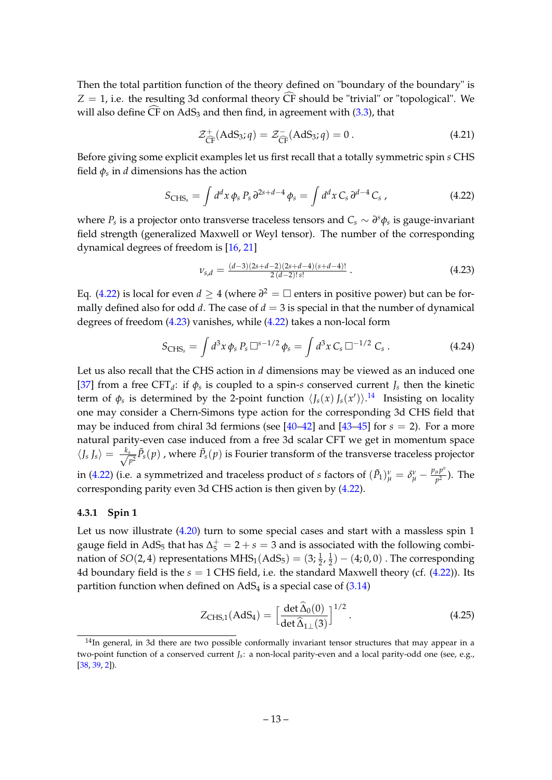Then the total partition function of the theory defined on "boundary of the boundary" is  $Z = 1$ , i.e. the resulting 3d conformal theory  $\widehat{CF}$  should be "trivial" or "topological". We will also define  $\widehat{CF}$  on AdS<sub>3</sub> and then find, in agreement with [\(3.3\)](#page-6-7), that

$$
\mathcal{Z}_{\widehat{\mathrm{CF}}}^+(AdS_3; q) = \mathcal{Z}_{\widehat{\mathrm{CF}}}^-(AdS_3; q) = 0. \tag{4.21}
$$

Before giving some explicit examples let us first recall that a totally symmetric spin *s* CHS field *φ<sup>s</sup>* in *d* dimensions has the action

<span id="page-13-1"></span>
$$
S_{\text{CHS}_s} = \int d^d x \, \phi_s \, P_s \, \partial^{2s+d-4} \, \phi_s = \int d^d x \, C_s \, \partial^{d-4} \, C_s \,, \tag{4.22}
$$

where  $P_s$  is a projector onto transverse traceless tensors and  $C_s \sim \partial^s \phi_s$  is gauge-invariant field strength (generalized Maxwell or Weyl tensor). The number of the corresponding dynamical degrees of freedom is [\[16,](#page-25-4) [21\]](#page-25-8)

<span id="page-13-2"></span>
$$
\nu_{s,d} = \frac{(d-3)(2s+d-2)(2s+d-4)(s+d-4)!}{2(d-2)!s!} \,. \tag{4.23}
$$

Eq. [\(4.22\)](#page-13-1) is local for even  $d \geq 4$  (where  $\partial^2 = \Box$  enters in positive power) but can be formally defined also for odd  $d$ . The case of  $d = 3$  is special in that the number of dynamical degrees of freedom [\(4.23\)](#page-13-2) vanishes, while [\(4.22\)](#page-13-1) takes a non-local form

<span id="page-13-4"></span>
$$
S_{\text{CHS}_s} = \int d^3x \, \phi_s \, P_s \, \Box^{s-1/2} \, \phi_s = \int d^3x \, C_s \, \Box^{-1/2} \, C_s \,. \tag{4.24}
$$

Let us also recall that the CHS action in *d* dimensions may be viewed as an induced one [\[37\]](#page-26-4) from a free CFT<sub>d</sub>: if  $\phi_s$  is coupled to a spin-*s* conserved current *J<sub>s</sub>* then the kinetic term of  $\phi_s$  is determined by the 2-point function  $\langle J_s(x) J_s(x') \rangle$ .<sup>[14](#page-13-3)</sup> Insisting on locality one may consider a Chern-Simons type action for the corresponding 3d CHS field that may be induced from chiral 3d fermions (see  $[40-42]$  $[40-42]$  and  $[43-45]$  $[43-45]$  for  $s = 2$ ). For a more natural parity-even case induced from a free 3d scalar CFT we get in momentum space h*J<sup>s</sup> Js*i = √ *ks*  $\frac{s_-}{p^2}\tilde{P}_s(p)$  , where  $\tilde{P}_s(p)$  is Fourier transform of the transverse traceless projector in [\(4.22\)](#page-13-1) (i.e. a symmetrized and traceless product of *s* factors of  $(\tilde{P}_1)^{\nu}_{\mu} = \delta^{\nu}_{\mu} - \frac{p_{\mu}p^{\nu}}{p^2}$  $\frac{\mu P}{p^2}$ ). The corresponding parity even 3d CHS action is then given by [\(4.22\)](#page-13-1).

#### <span id="page-13-0"></span>**4.3.1 Spin 1**

Let us now illustrate [\(4.20\)](#page-12-3) turn to some special cases and start with a massless spin 1 gauge field in AdS<sub>5</sub> that has  $\Delta_5^+ = 2 + s = 3$  and is associated with the following combination of  $SO(2,4)$  representations  $\text{MHS}_1(\text{AdS}_5) = (3; \frac{1}{2}, \frac{1}{2})$  $(\frac{1}{2}) - (4, 0, 0)$  . The corresponding 4d boundary field is the  $s = 1$  CHS field, i.e. the standard Maxwell theory (cf.  $(4.22)$ ). Its partition function when defined on  $AdS_4$  is a special case of  $(3.14)$ 

<span id="page-13-5"></span>
$$
Z_{CHS,1}(\text{AdS}_4) = \left[\frac{\det \widehat{\Delta}_0(0)}{\det \widehat{\Delta}_{1\perp}(3)}\right]^{1/2}.
$$
 (4.25)

<span id="page-13-3"></span><sup>&</sup>lt;sup>14</sup>In general, in 3d there are two possible conformally invariant tensor structures that may appear in a two-point function of a conserved current *Js*: a non-local parity-even and a local parity-odd one (see, e.g., [\[38,](#page-26-9) [39,](#page-26-10) [2\]](#page-24-1)).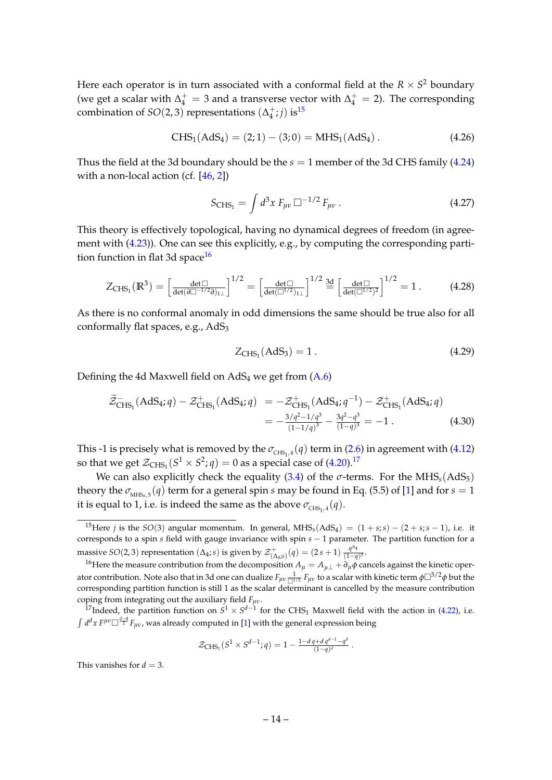Here each operator is in turn associated with a conformal field at the  $R \times S^2$  boundary (we get a scalar with  $\Delta_4^+ = 3$  and a transverse vector with  $\Delta_4^+ = 2$ ). The corresponding combination of  $SO(2,3)$  representations  $(\Delta_4^+$  $j_4^{\pm}$ ; *j*) is<sup>[15](#page-14-0)</sup>

$$
CHS_1(AdS_4) = (2; 1) - (3; 0) = MHS_1(AdS_4).
$$
 (4.26)

Thus the field at the 3d boundary should be the  $s = 1$  member of the 3d CHS family [\(4.24\)](#page-13-4) with a non-local action (cf.  $[46, 2]$  $[46, 2]$  $[46, 2]$ )

$$
S_{\text{CHS}_1} = \int d^3x \, F_{\mu\nu} \, \Box^{-1/2} \, F_{\mu\nu} \,. \tag{4.27}
$$

This theory is effectively topological, having no dynamical degrees of freedom (in agreement with [\(4.23\)](#page-13-2)). One can see this explicitly, e.g., by computing the corresponding parti-tion function in flat 3d space<sup>[16](#page-14-1)</sup>

$$
Z_{\text{CHS}_1}(\mathbb{R}^3) = \left[\frac{\det \Box}{\det(\partial \Box^{-1/2} \partial)_{1\perp}}\right]^{1/2} = \left[\frac{\det \Box}{\det(\Box^{1/2})_{1\perp}}\right]^{1/2} \stackrel{\text{3d}}{=} \left[\frac{\det \Box}{\det(\Box^{1/2})^2}\right]^{1/2} = 1. \tag{4.28}
$$

As there is no conformal anomaly in odd dimensions the same should be true also for all conformally flat spaces, e.g., AdS<sub>3</sub>

$$
Z_{CHS_1}(AdS_3) = 1.
$$
 (4.29)

Defining the 4d Maxwell field on  $AdS_4$  we get from  $(A.6)$ 

$$
\widetilde{\mathcal{Z}}_{CHS_1}^{-}(AdS_4; q) - \mathcal{Z}_{CHS_1}^{+}(AdS_4; q) = -\mathcal{Z}_{CHS_1}^{+}(AdS_4; q^{-1}) - \mathcal{Z}_{CHS_1}^{+}(AdS_4; q)
$$
  
= 
$$
-\frac{3/q^2 - 1/q^3}{(1-1/q)^3} - \frac{3q^2 - q^3}{(1-q)^3} = -1.
$$
 (4.30)

This -1 is precisely what is removed by the  $\sigma_{CHS_1,4}(q)$  term in [\(2.6\)](#page-5-3) in agreement with [\(4.12\)](#page-11-5) so that we get  $\mathcal{Z}_{\text{CHS}_1}(S^1 \times S^2; q) = 0$  as a special case of [\(4.20\)](#page-12-3).<sup>[17](#page-14-2)</sup>

We can also explicitly check the equality  $(3.4)$  of the  $\sigma$ -terms. For the MHS<sub>s</sub> $(AdS_5)$ theory the  $\sigma_{MHSs,5}(q)$  term for a general spin *s* may be found in Eq. (5.5) of [\[1\]](#page-24-0) and for  $s = 1$ it is equal to 1, i.e. is indeed the same as the above  $\sigma_{\text{CHS}_1,4}(q)$ .

<span id="page-14-3"></span>
$$
\mathcal{Z}_{CHS_1}(S^1 \times S^{d-1}; q) = 1 - \frac{1 - dq + dq^{d-1} - q^d}{(1 - q)^d}.
$$

This vanishes for  $d = 3$ .

<span id="page-14-0"></span><sup>&</sup>lt;sup>15</sup>Here *j* is the *SO*(3) angular momentum. In general, MHS<sub>s</sub>(AdS<sub>4</sub>) =  $(1 + s; s) - (2 + s; s - 1)$ , i.e. it corresponds to a spin *s* field with gauge invariance with spin *s* − 1 parameter. The partition function for a massive *SO*(2,3) representation ( $\Delta_4$ ; *s*) is given by  $\mathcal{Z}^+_{(\Delta_4; s)}(q) = (2s + 1) \frac{q^{\Delta_4}}{(1-q)}$  $\frac{q}{(1-q)^3}$ .

<span id="page-14-1"></span><sup>&</sup>lt;sup>16</sup>Here the measure contribution from the decomposition  $A_\mu = A_{\mu\perp} + \partial_\mu \phi$  cancels against the kinetic operator contribution. Note also that in 3d one can dualize  $F_{\mu\nu}\frac{1}{\Box^{1/2}}F_{\mu\nu}$  to a scalar with kinetic term φ $\Box^{3/2} \phi$  but the corresponding partition function is still 1 as the scalar determinant is cancelled by the measure contribution coping from integrating out the auxiliary field *Fµν*.

<span id="page-14-2"></span><sup>&</sup>lt;sup>17</sup>Indeed, the partition function on  $S^1 \times S^{d-1}$  for the CHS<sub>1</sub> Maxwell field with the action in [\(4.22\)](#page-13-1), i.e.  $\int d^dx F^{\mu\nu} \Box^{\frac{d-4}{2}} F_{\mu\nu}$ , was already computed in [\[1\]](#page-24-0) with the general expression being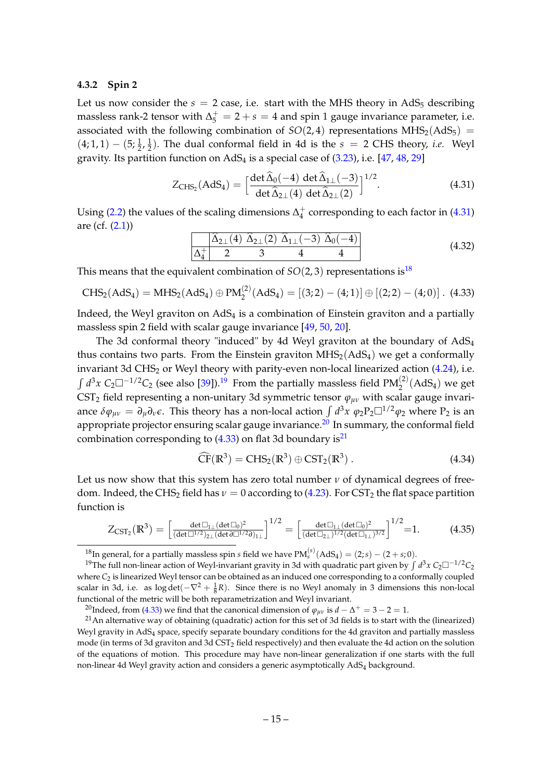#### <span id="page-15-0"></span>**4.3.2 Spin 2**

Let us now consider the  $s = 2$  case, i.e. start with the MHS theory in AdS<sub>5</sub> describing massless rank-2 tensor with  $\Delta_5^+ = 2 + s = 4$  and spin 1 gauge invariance parameter, i.e. associated with the following combination of  $SO(2, 4)$  representations MHS<sub>2</sub>(AdS<sub>5</sub>) =  $(4;1,1)-(5;\frac{1}{2},\frac{1}{2})$  $\frac{1}{2}$ ). The dual conformal field in 4d is the  $s = 2$  CHS theory, *i.e.* Weyl gravity. Its partition function on  $AdS_4$  is a special case of  $(3.23)$ , i.e.  $[47, 48, 29]$  $[47, 48, 29]$  $[47, 48, 29]$  $[47, 48, 29]$  $[47, 48, 29]$ 

$$
Z_{\text{CHS}_2}(\text{AdS}_4) = \left[\frac{\det \widehat{\Delta}_0(-4) \ \det \widehat{\Delta}_{1\perp}(-3)}{\det \widehat{\Delta}_{2\perp}(4) \ \det \widehat{\Delta}_{2\perp}(2)}\right]^{1/2}.
$$
 (4.31)

Using [\(2.2\)](#page-4-3) the values of the scaling dimensions  $\Delta_4^+$  $_4^+$  corresponding to each factor in [\(4.31\)](#page-14-3) are (cf.  $(2.1)$ )

$$
\frac{\Delta_{2\perp}(4) \ \hat{\Delta}_{2\perp}(2) \ \hat{\Delta}_{1\perp}(-3) \ \hat{\Delta}_0(-4)}{\Delta_4^+ \ 2 \ 3 \ 4 \ 4} \tag{4.32}
$$

This means that the equivalent combination of  $SO(2,3)$  representations is<sup>[18](#page-15-1)</sup>

<span id="page-15-4"></span>
$$
CHS_2(AdS_4) = MHS_2(AdS_4) \oplus PM_2^{(2)}(AdS_4) = [(3;2)-(4;1)] \oplus [(2;2)-(4;0)]. \tag{4.33}
$$

Indeed, the Weyl graviton on  $AdS<sub>4</sub>$  is a combination of Einstein graviton and a partially massless spin 2 field with scalar gauge invariance [\[49,](#page-26-14) [50,](#page-26-15) [20\]](#page-25-7).

The 3d conformal theory "induced" by 4d Weyl graviton at the boundary of AdS<sup>4</sup> thus contains two parts. From the Einstein graviton  $MHS_2(AdS_4)$  we get a conformally invariant 3d CHS<sub>2</sub> or Weyl theory with parity-even non-local linearized action  $(4.24)$ , i.e.  $\int d^3x \ C_2 \Box^{-1/2}C_2$  (see also [\[39\]](#page-26-10)).<sup>[19](#page-15-2)</sup> From the partially massless field PM<sup>(2)</sup>(AdS<sub>4</sub>) we get CST<sub>2</sub> field representing a non-unitary 3d symmetric tensor  $\varphi_{\mu\nu}$  with scalar gauge invariance  $\delta\phi_{\mu\nu} = \partial_\mu\partial_\nu\epsilon$ . This theory has a non-local action  $\int d^3x \ \varphi_2P_2\Box^{1/2}\varphi_2$  where  $P_2$  is an appropriate projector ensuring scalar gauge invariance.<sup>[20](#page-15-3)</sup> In summary, the conformal field combination corresponding to  $(4.33)$  on flat 3d boundary is<sup>[21](#page-15-5)</sup>

$$
\widehat{\mathrm{CF}}(\mathbb{R}^3) = \mathrm{CHS}_2(\mathbb{R}^3) \oplus \mathrm{CST}_2(\mathbb{R}^3) \,. \tag{4.34}
$$

Let us now show that this system has zero total number  $\nu$  of dynamical degrees of freedom. Indeed, the CHS<sub>2</sub> field has  $\nu = 0$  according to [\(4.23\)](#page-13-2). For CST<sub>2</sub> the flat space partition function is

<span id="page-15-6"></span>
$$
Z_{\text{CST}_2}(\mathbb{R}^3) = \left[\frac{\det \Box_{1\perp} (\det \Box_0)^2}{(\det \Box^{1/2})_{2\perp} (\det \partial \Box^{1/2} \partial)_{1\perp}}\right]^{1/2} = \left[\frac{\det \Box_{1\perp} (\det \Box_0)^2}{(\det \Box_{2\perp})^{1/2} (\det \Box_{1\perp})^{3/2}}\right]^{1/2} = 1. \tag{4.35}
$$

<span id="page-15-2"></span><span id="page-15-1"></span><sup>&</sup>lt;sup>18</sup>In general, for a partially massless spin *s* field we have  $PM_s^{(s)}(AdS_4) = (2, s) - (2 + s; 0)$ .

<sup>&</sup>lt;sup>19</sup>The full non-linear action of Weyl-invariant gravity in 3d with quadratic part given by ∫ d<sup>3</sup>x C<sub>2</sub>□<sup>−1/2</sup>C<sub>2</sub> where  $C_2$  is linearized Weyl tensor can be obtained as an induced one corresponding to a conformally coupled scalar in 3d, i.e. as  $log det(-\nabla^2 + \frac{1}{8}R)$ . Since there is no Weyl anomaly in 3 dimensions this non-local functional of the metric will be both reparametrization and Weyl invariant.

<span id="page-15-5"></span><span id="page-15-3"></span><sup>&</sup>lt;sup>20</sup>Indeed, from [\(4.33\)](#page-15-4) we find that the canonical dimension of  $\varphi_{\mu\nu}$  is  $d-\Delta^+=3-2=1.$ 

 $21$ An alternative way of obtaining (quadratic) action for this set of 3d fields is to start with the (linearized) Weyl gravity in AdS<sup>4</sup> space, specify separate boundary conditions for the 4d graviton and partially massless mode (in terms of 3d graviton and 3d CST<sup>2</sup> field respectively) and then evaluate the 4d action on the solution of the equations of motion. This procedure may have non-linear generalization if one starts with the full non-linear 4d Weyl gravity action and considers a generic asymptotically AdS<sub>4</sub> background.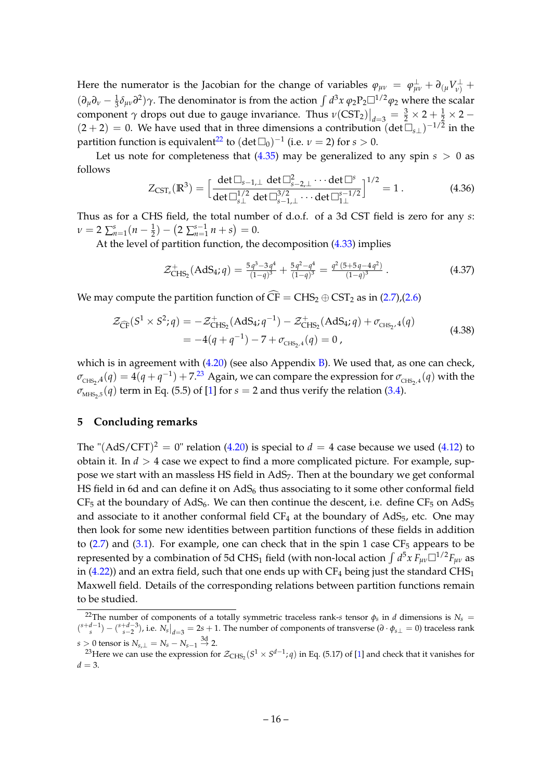Here the numerator is the Jacobian for the change of variables  $\varphi_{\mu\nu} = \varphi_{\mu\nu}^{\perp} + \partial_{(\mu}V^{\perp}_{\nu)} + \varphi_{(\mu}V^{\perp}_{\nu)}$  $(\partial_{\mu}\partial_{\nu} - \frac{1}{3}\delta_{\mu\nu}\partial^{2})\gamma$ . The denominator is from the action  $\int d^{3}x \varphi_{2}P_{2}\Box^{1/2}\varphi_{2}$  where the scalar component  $\gamma$  drops out due to gauge invariance. Thus  $v(\text{CST}_2)\big|_{d=3} = \frac{3}{2} \times 2 + \frac{1}{2} \times 2 - \frac{1}{2}$  $(2 + 2) = 0$ . We have used that in three dimensions a contribution  $(\det \overline{\Box}_{s\perp})^{-1/2}$  in the partition function is equivalent<sup>[22](#page-16-1)</sup> to  $(\det \Box_0)^{-1}$  (i.e.  $\nu = 2$ ) for  $s > 0$ .

Let us note for completeness that  $(4.35)$  may be generalized to any spin  $s > 0$  as follows

$$
Z_{\text{CST}_s}(\mathbb{R}^3) = \left[\frac{\det \Box_{s-1,\perp} \ \det \Box_{s-2,\perp}^2 \cdots \det \Box_{s}^s}{\det \Box_{s\perp}^{1/2} \ \det \Box_{s-1,\perp}^{3/2} \cdots \det \Box_{1\perp}^{s-1/2}}\right]^{1/2} = 1. \tag{4.36}
$$

Thus as for a CHS field, the total number of d.o.f. of a 3d CST field is zero for any *s*:  $\nu = 2 \sum_{n=1}^{s} (n - \frac{1}{2}) - (2 \sum_{n=1}^{s-1} n + s) = 0.$ 

At the level of partition function, the decomposition [\(4.33\)](#page-15-4) implies

<span id="page-16-3"></span>
$$
\mathcal{Z}_{CHS_2}^+(AdS_4; q) = \frac{5q^3 - 3q^4}{(1-q)^3} + \frac{5q^2 - q^4}{(1-q)^3} = \frac{q^2 (5+5q-4q^2)}{(1-q)^3}.
$$
 (4.37)

We may compute the partition function of  $\widehat{CF} = CHS_2 \oplus CST_2$  as in [\(2.7\)](#page-5-5),[\(2.6\)](#page-5-3)

$$
\mathcal{Z}_{\widehat{\text{CF}}}(S^1 \times S^2; q) = -\mathcal{Z}_{\text{CHS}_2}^+(AdS_4; q^{-1}) - \mathcal{Z}_{\text{CHS}_2}^+(AdS_4; q) + \sigma_{\text{CHS}_2,4}(q)
$$
  
= -4(q + q^{-1}) - 7 + \sigma\_{\text{CHS}\_2,4}(q) = 0, (4.38)

which is in agreement with  $(4.20)$  (see also Appendix [B\)](#page-19-0). We used that, as one can check,  $\sigma_{\text{CHS}_2,4}(q) = 4(q+q^{-1}) + 7.^{23}$  $\sigma_{\text{CHS}_2,4}(q) = 4(q+q^{-1}) + 7.^{23}$  $\sigma_{\text{CHS}_2,4}(q) = 4(q+q^{-1}) + 7.^{23}$  Again, we can compare the expression for  $\sigma_{\text{CHS}_2,4}(q)$  with the  $\sigma_{\text{MHS}_2,5}(q)$  term in Eq. (5.5) of [\[1\]](#page-24-0) for  $s=2$  and thus verify the relation [\(3.4\)](#page-6-2).

#### <span id="page-16-0"></span>**5 Concluding remarks**

The " $(AdS/CFT)^2 = 0$ " relation [\(4.20\)](#page-12-3) is special to  $d = 4$  case because we used [\(4.12\)](#page-11-5) to obtain it. In  $d > 4$  case we expect to find a more complicated picture. For example, suppose we start with an massless HS field in  $AdS_7$ . Then at the boundary we get conformal HS field in 6d and can define it on  $AdS_6$  thus associating to it some other conformal field  $CF_5$  at the boundary of AdS<sub>6</sub>. We can then continue the descent, i.e. define  $CF_5$  on AdS<sub>5</sub> and associate to it another conformal field  $CF_4$  at the boundary of AdS<sub>5</sub>, etc. One may then look for some new identities between partition functions of these fields in addition to  $(2.7)$  and  $(3.1)$ . For example, one can check that in the spin 1 case CF<sub>5</sub> appears to be represented by a combination of 5d CHS<sub>1</sub> field (with non-local action  $\int d^5x\, F_{\mu\nu}\Box^{1/2}F_{\mu\nu}$  as in [\(4.22\)](#page-13-1)) and an extra field, such that one ends up with  $CF_4$  being just the standard  $CHS_1$ Maxwell field. Details of the corresponding relations between partition functions remain to be studied.

<span id="page-16-1"></span><sup>&</sup>lt;sup>22</sup>The number of components of a totally symmetric traceless rank-*s* tensor  $\phi_s$  in *d* dimensions is  $N_s$  =  $\binom{s+d-1}{s} - \binom{s+d-3}{s-2}$ , i.e.  $N_s|_{d=3} = 2s + 1$ . The number of components of transverse  $(\partial \cdot \phi_{s\perp} = 0)$  traceless rank *s* > 0 tensor is  $N_{s,\perp} = N_s - N_{s-1} \stackrel{\text{3d}}{\rightarrow}$  2.

<span id="page-16-2"></span><sup>&</sup>lt;sup>23</sup>Here we can use the expression for  $\mathcal{Z}_{CHS_2}(S^1\times S^{d-1};q)$  in Eq. (5.17) of [\[1\]](#page-24-0) and check that it vanishes for  $d = 3$ .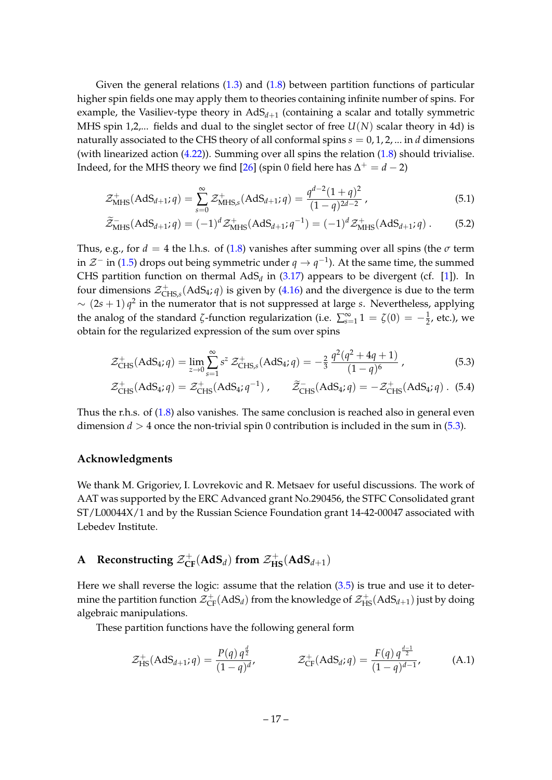Given the general relations [\(1.3\)](#page-2-2) and [\(1.8\)](#page-3-2) between partition functions of particular higher spin fields one may apply them to theories containing infinite number of spins. For example, the Vasiliev-type theory in  $\mathrm{AdS}_{d+1}$  (containing a scalar and totally symmetric MHS spin 1,2,... fields and dual to the singlet sector of free  $U(N)$  scalar theory in 4d) is naturally associated to the CHS theory of all conformal spins  $s = 0, 1, 2, ...$  in *d* dimensions (with linearized action  $(4.22)$ ). Summing over all spins the relation  $(1.8)$  should trivialise. Indeed, for the MHS theory we find [\[26\]](#page-25-12) (spin 0 field here has  $\Delta^+ = d - 2$ )

$$
\mathcal{Z}_{\text{MHS}}^{+}(AdS_{d+1}; q) = \sum_{s=0}^{\infty} \mathcal{Z}_{\text{MHS},s}^{+}(AdS_{d+1}; q) = \frac{q^{d-2}(1+q)^2}{(1-q)^{2d-2}}, \qquad (5.1)
$$

$$
\widetilde{\mathcal{Z}}_{\text{MHS}}^{-}(AdS_{d+1}; q) = (-1)^{d} \mathcal{Z}_{\text{MHS}}^{+}(AdS_{d+1}; q^{-1}) = (-1)^{d} \mathcal{Z}_{\text{MHS}}^{+}(AdS_{d+1}; q).
$$
 (5.2)

Thus, e.g., for  $d = 4$  the l.h.s. of [\(1.8\)](#page-3-2) vanishes after summing over all spins (the  $\sigma$  term in  $\mathcal{Z}^-$  in [\(1.5\)](#page-2-2) drops out being symmetric under  $q\to q^{-1}$ ). At the same time, the summed CHS partition function on thermal  $AdS_d$  in [\(3.17\)](#page-8-3) appears to be divergent (cf. [\[1\]](#page-24-0)). In four dimensions  $\mathcal{Z}_{\text{Cl}}^{+}$ CHS,*s* (AdS4; *q*) is given by [\(4.16\)](#page-12-4) and the divergence is due to the term  $\sim (2s+1) q^2$  in the numerator that is not suppressed at large *s*. Nevertheless, applying the analog of the standard  $\zeta$ -function regularization (i.e.  $\sum_{s=1}^{\infty} 1 = \zeta(0) = -\frac{1}{2}$ , etc.), we obtain for the regularized expression of the sum over spins

$$
\mathcal{Z}_{CHS}^{+}(AdS_4; q) = \lim_{z \to 0} \sum_{s=1}^{\infty} s^z \mathcal{Z}_{CHS,s}^{+}(AdS_4; q) = -\frac{2}{3} \frac{q^2(q^2 + 4q + 1)}{(1 - q)^6},
$$
\n(5.3)

<span id="page-17-1"></span>
$$
\mathcal{Z}_{CHS}^{+}(AdS_4; q) = \mathcal{Z}_{CHS}^{+}(AdS_4; q^{-1}), \qquad \widetilde{\mathcal{Z}}_{CHS}^{-}(AdS_4; q) = -\mathcal{Z}_{CHS}^{+}(AdS_4; q). \tag{5.4}
$$

Thus the r.h.s. of [\(1.8\)](#page-3-2) also vanishes. The same conclusion is reached also in general even dimension  $d > 4$  once the non-trivial spin 0 contribution is included in the sum in  $(5.3)$ .

#### **Acknowledgments**

We thank M. Grigoriev, I. Lovrekovic and R. Metsaev for useful discussions. The work of AAT was supported by the ERC Advanced grant No.290456, the STFC Consolidated grant ST/L00044X/1 and by the Russian Science Foundation grant 14-42-00047 associated with Lebedev Institute.

## <span id="page-17-0"></span>**A** Reconstructing  $\mathcal{Z}_{\text{CF}}^+(\text{AdS}_d)$  from  $\mathcal{Z}_{\text{HS}}^+(\text{AdS}_{d+1})$

Here we shall reverse the logic: assume that the relation [\(3.5\)](#page-6-4) is true and use it to determine the partition function  $\mathcal{Z}^+_{\rm CF}(\rm{AdS}_d)$  from the knowledge of  $\mathcal{Z}^+_{\rm HS}(\rm{AdS}_{d+1})$  just by doing algebraic manipulations.

These partition functions have the following general form

<span id="page-17-2"></span>
$$
\mathcal{Z}_{\text{HS}}^{+}(\text{AdS}_{d+1}; q) = \frac{P(q) q^{\frac{d}{2}}}{(1-q)^{d}}, \qquad \mathcal{Z}_{\text{CF}}^{+}(\text{AdS}_{d}; q) = \frac{F(q) q^{\frac{d-1}{2}}}{(1-q)^{d-1}}, \qquad (A.1)
$$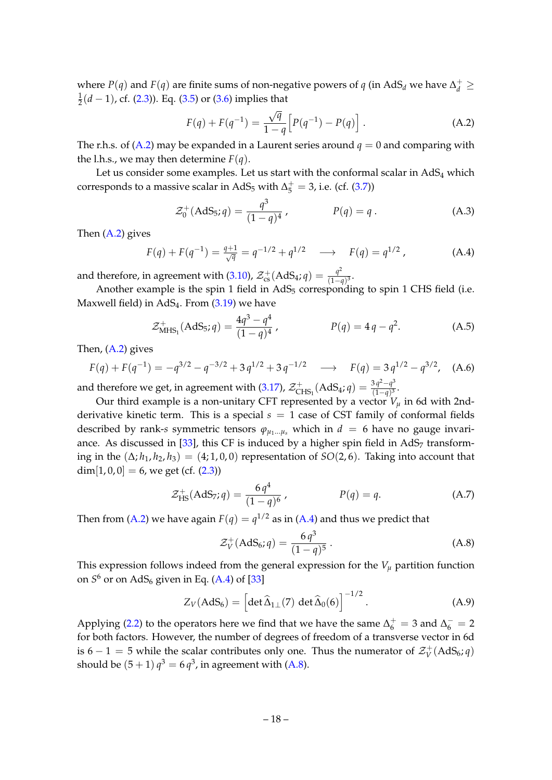where *P*(*q*) and *F*(*q*) are finite sums of non-negative powers of *q* (in AdS<sub>*d*</sub> we have  $\Delta_d^+ \geq$ 1 2 (*d* − 1), cf. [\(2.3\)](#page-5-0)). Eq. [\(3.5\)](#page-6-4) or [\(3.6\)](#page-6-8) implies that

<span id="page-18-1"></span>
$$
F(q) + F(q^{-1}) = \frac{\sqrt{q}}{1 - q} \left[ P(q^{-1}) - P(q) \right].
$$
 (A.2)

The r.h.s. of [\(A.2\)](#page-18-1) may be expanded in a Laurent series around  $q = 0$  and comparing with the l.h.s., we may then determine  $F(q)$ .

Let us consider some examples. Let us start with the conformal scalar in  $AdS<sub>4</sub>$  which corresponds to a massive scalar in AdS<sub>5</sub> with  $\Delta_5^+=3$ , i.e. (cf. [\(3.7\)](#page-6-6))

$$
\mathcal{Z}_0^+(\text{AdS}_5; q) = \frac{q^3}{(1-q)^4}, \qquad P(q) = q. \tag{A.3}
$$

Then  $(A.2)$  gives

<span id="page-18-2"></span>
$$
F(q) + F(q^{-1}) = \frac{q+1}{\sqrt{q}} = q^{-1/2} + q^{1/2} \longrightarrow F(q) = q^{1/2}, \tag{A.4}
$$

and therefore, in agreement with [\(3.10\)](#page-7-3),  $\mathcal{Z}_{\text{cs}}^+ (\text{AdS}_4; q) = \frac{q^2}{(1-q)^2}$  $\frac{q}{(1-q)^3}$ .

Another example is the spin 1 field in  $AdS_5$  corresponding to spin 1 CHS field (i.e. Maxwell field) in AdS<sub>4</sub>. From [\(3.19\)](#page-8-5) we have

$$
\mathcal{Z}_{\text{MHS}_1}^+(AdS_5; q) = \frac{4q^3 - q^4}{(1 - q)^4}, \qquad P(q) = 4q - q^2. \tag{A.5}
$$

Then,  $(A.2)$  gives

<span id="page-18-0"></span>
$$
F(q) + F(q^{-1}) = -q^{3/2} - q^{-3/2} + 3q^{1/2} + 3q^{-1/2} \longrightarrow F(q) = 3q^{1/2} - q^{3/2}, \quad (A.6)
$$

and therefore we get, in agreement with [\(3.17\)](#page-8-3),  $\mathcal{Z}_{\text{C}}^{+}$  $\chi^+_{\rm CHS_1}({\rm AdS}_4; q) = \frac{3\,q^2-q^3}{(1-q)^3}$  $\frac{3q-q}{(1-q)^3}$ .

Our third example is a non-unitary CFT represented by a vector  $V_\mu$  in 6d with 2ndderivative kinetic term. This is a special  $s = 1$  case of CST family of conformal fields described by rank-*s* symmetric tensors  $\varphi_{\mu_1...\mu_s}$  which in  $d = 6$  have no gauge invariance. As discussed in  $[33]$ , this CF is induced by a higher spin field in AdS<sub>7</sub> transforming in the  $(\Delta; h_1, h_2, h_3) = (4; 1, 0, 0)$  representation of *SO*(2,6). Taking into account that  $dim[1, 0, 0] = 6$ , we get (cf.  $(2.3)$ )

$$
\mathcal{Z}_{\text{HS}}^{+}(\text{AdS}_7; q) = \frac{6 q^4}{(1 - q)^6} , \qquad P(q) = q. \tag{A.7}
$$

Then from [\(A.2\)](#page-18-1) we have again  $F(q) = q^{1/2}$  as in [\(A.4\)](#page-18-2) and thus we predict that

<span id="page-18-3"></span>
$$
\mathcal{Z}_V^+(\text{AdS}_6; q) = \frac{6 q^3}{(1 - q)^5} \,. \tag{A.8}
$$

This expression follows indeed from the general expression for the  $V_\mu$  partition function on *S* <sup>6</sup> or on AdS<sup>6</sup> given in Eq. [\(A.4\)](#page-18-2) of [\[33\]](#page-26-0)

$$
Z_V(\text{AdS}_6) = \left[ \det \widehat{\Delta}_{1\perp}(7) \, \det \widehat{\Delta}_0(6) \right]^{-1/2} . \tag{A.9}
$$

Applying [\(2.2\)](#page-4-3) to the operators here we find that we have the same  $\Delta_6^+ = 3$  and  $\Delta_6^- = 2$ for both factors. However, the number of degrees of freedom of a transverse vector in 6d is 6 – 1 = 5 while the scalar contributes only one. Thus the numerator of  $\mathcal{Z}_{V}^{+}$  $V_V^+(AdS_6; q)$ should be  $(5+1)$   $q^3 = 6$   $q^3$ , in agreement with [\(A.8\)](#page-18-3).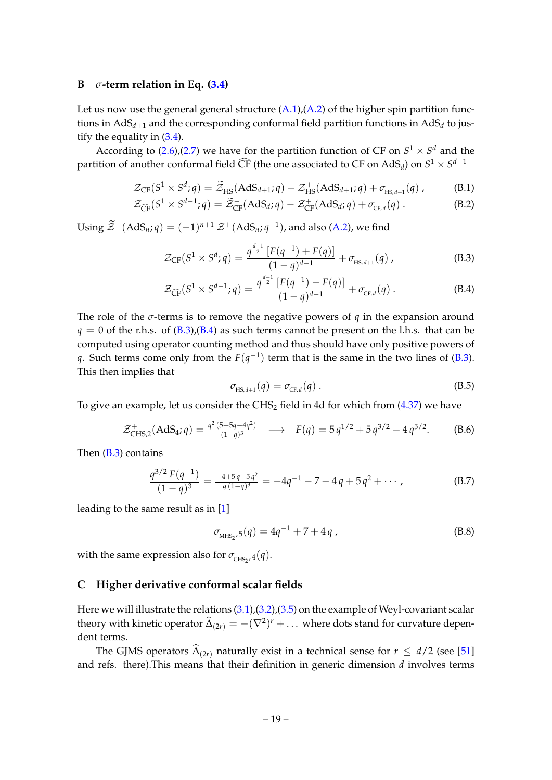#### <span id="page-19-0"></span>**B**  $\sigma$ -term relation in Eq.  $(3.4)$

Let us now use the general general structure  $(A.1)$ ,  $(A.2)$  of the higher spin partition functions in  $\mathrm{AdS}_{d+1}$  and the corresponding conformal field partition functions in  $\mathrm{AdS}_d$  to justify the equality in  $(3.4)$ .

According to  $(2.6)$ , $(2.7)$  we have for the partition function of CF on  $S^1 \times S^d$  and the partition of another conformal field  $\widehat{\text{CF}}$  (the one associated to CF on AdS<sub>d</sub>) on  $S^1 \times S^{d-1}$ 

$$
\mathcal{Z}_{\mathrm{CF}}(S^1 \times S^d; q) = \widetilde{\mathcal{Z}}_{\mathrm{HS}}^{-}(\mathrm{AdS}_{d+1}; q) - \mathcal{Z}_{\mathrm{HS}}^{+}(\mathrm{AdS}_{d+1}; q) + \sigma_{_{\mathrm{HS},d+1}}(q) ,\tag{B.1}
$$

$$
\mathcal{Z}_{\widehat{\mathrm{CF}}}(S^1 \times S^{d-1}; q) = \widetilde{\mathcal{Z}}_{\mathrm{CF}}(AdS_d; q) - \mathcal{Z}_{\mathrm{CF}}^+(AdS_d; q) + \sigma_{\mathrm{CF},d}(q) \,. \tag{B.2}
$$

Using  $\widetilde{\mathcal{Z}}^{-}(\text{AdS}_n; q) = (-1)^{n+1} \mathcal{Z}^+(\text{AdS}_n; q^{-1})$ , and also [\(A.2\)](#page-18-1), we find

$$
\mathcal{Z}_{CF}(S^1 \times S^d; q) = \frac{q^{\frac{d-1}{2}} \left[ F(q^{-1}) + F(q) \right]}{(1-q)^{d-1}} + \sigma_{HS, d+1}(q) , \qquad (B.3)
$$

<span id="page-19-2"></span>
$$
\mathcal{Z}_{\widehat{\text{CF}}}(S^1 \times S^{d-1}; q) = \frac{q^{\frac{d-1}{2}} \left[ F(q^{-1}) - F(q) \right]}{(1-q)^{d-1}} + \sigma_{\text{CF},d}(q) \,. \tag{B.4}
$$

The role of the *σ*-terms is to remove the negative powers of *q* in the expansion around  $q = 0$  of the r.h.s. of  $(B.3)$ ,  $(B.4)$  as such terms cannot be present on the l.h.s. that can be computed using operator counting method and thus should have only positive powers of *q*. Such terms come only from the  $F(q^{-1})$  term that is the same in the two lines of [\(B.3\)](#page-19-2). This then implies that

$$
\sigma_{\text{HS},d+1}(q) = \sigma_{\text{CF},d}(q) \tag{B.5}
$$

To give an example, let us consider the  $CHS<sub>2</sub>$  field in 4d for which from [\(4.37\)](#page-16-3) we have

$$
\mathcal{Z}_{\text{CHS},2}^{+}(AdS_4; q) = \frac{q^2 (5+5q-4q^2)}{(1-q)^3} \longrightarrow F(q) = 5 q^{1/2} + 5 q^{3/2} - 4 q^{5/2}.
$$
 (B.6)

Then [\(B.3\)](#page-19-2) contains

$$
\frac{q^{3/2} F(q^{-1})}{(1-q)^3} = \frac{-4+5q+5q^2}{q(1-q)^3} = -4q^{-1} - 7 - 4q + 5q^2 + \cdots,
$$
 (B.7)

leading to the same result as in [\[1\]](#page-24-0)

$$
\sigma_{\text{MHS}_2,5}(q) = 4q^{-1} + 7 + 4q \tag{B.8}
$$

with the same expression also for  $\sigma_{\text{CHS}_2}$ ,  $_4(q)$ .

#### <span id="page-19-1"></span>**C Higher derivative conformal scalar fields**

Here we will illustrate the relations [\(3.1\)](#page-6-3),[\(3.2\)](#page-6-5),[\(3.5\)](#page-6-4) on the example of Weyl-covariant scalar theory with kinetic operator  $\widehat{\Delta}_{(2r)} = -(\nabla^2)^r + \dots$  where dots stand for curvature dependent terms.

The GJMS operators  $\Delta_{(2r)}$  naturally exist in a technical sense for  $r \leq d/2$  (see [\[51\]](#page-26-16) and refs. there).This means that their definition in generic dimension *d* involves terms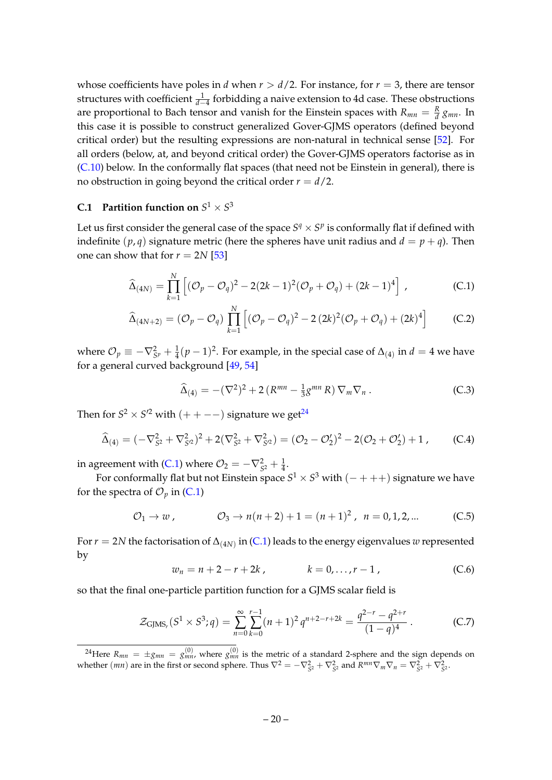whose coefficients have poles in *d* when  $r > d/2$ . For instance, for  $r = 3$ , there are tensor structures with coefficient  $\frac{1}{d-4}$  forbidding a naive extension to 4d case. These obstructions are proportional to Bach tensor and vanish for the Einstein spaces with  $R_{mn} = \frac{R}{d} g_{mn}$ . In this case it is possible to construct generalized Gover-GJMS operators (defined beyond critical order) but the resulting expressions are non-natural in technical sense [\[52\]](#page-26-17). For all orders (below, at, and beyond critical order) the Gover-GJMS operators factorise as in [\(C.10\)](#page-21-4) below. In the conformally flat spaces (that need not be Einstein in general), there is no obstruction in going beyond the critical order  $r = d/2$ .

## <span id="page-20-0"></span>**C.1** Partition function on  $S^1 \times S^3$

Let us first consider the general case of the space  $S^q \times S^p$  is conformally flat if defined with indefinite  $(p, q)$  signature metric (here the spheres have unit radius and  $d = p + q$ ). Then one can show that for  $r = 2N$  [\[53\]](#page-26-18)

<span id="page-20-2"></span>
$$
\widehat{\Delta}_{(4N)} = \prod_{k=1}^{N} \left[ (\mathcal{O}_p - \mathcal{O}_q)^2 - 2(2k-1)^2(\mathcal{O}_p + \mathcal{O}_q) + (2k-1)^4 \right],
$$
\n(C.1)

$$
\widehat{\Delta}_{(4N+2)} = (\mathcal{O}_p - \mathcal{O}_q) \prod_{k=1}^N \left[ (\mathcal{O}_p - \mathcal{O}_q)^2 - 2 (2k)^2 (\mathcal{O}_p + \mathcal{O}_q) + (2k)^4 \right]
$$
 (C.2)

where  $\mathcal{O}_p \equiv -\nabla^2_{S^p} + \frac{1}{4}(p-1)^2$ . For example, in the special case of  $\Delta_{(4)}$  in  $d=4$  we have for a general curved background [\[49,](#page-26-14) [54\]](#page-27-0)

$$
\widehat{\Delta}_{(4)} = -(\nabla^2)^2 + 2\left(R^{mn} - \frac{1}{3}g^{mn}R\right)\nabla_m\nabla_n\,. \tag{C.3}
$$

Then for  $S^2 \times S'^2$  with  $(++--)$  signature we get<sup>[24](#page-20-1)</sup>

$$
\widehat{\Delta}_{(4)} = (-\nabla_{S^2}^2 + \nabla_{S^2}^2)^2 + 2(\nabla_{S^2}^2 + \nabla_{S^2}^2) = (\mathcal{O}_2 - \mathcal{O}'_2)^2 - 2(\mathcal{O}_2 + \mathcal{O}'_2) + 1,
$$
 (C.4)

in agreement with [\(C.1\)](#page-20-2) where  $\mathcal{O}_2 = -\nabla_{S^2}^2 + \frac{1}{4}$ .

For conformally flat but not Einstein space  $S^1 \times S^3$  with  $(-+++)$  signature we have for the spectra of  $\mathcal{O}_p$  in [\(C.1\)](#page-20-2)

$$
\mathcal{O}_1 \to w, \qquad \mathcal{O}_3 \to n(n+2)+1 = (n+1)^2, \ \ n = 0, 1, 2, \dots \qquad (C.5)
$$

For  $r = 2N$  the factorisation of  $\Delta_{(4N)}$  in [\(C.1\)](#page-20-2) leads to the energy eigenvalues  $w$  represented by

$$
w_n = n + 2 - r + 2k, \qquad k = 0, \dots, r - 1, \tag{C.6}
$$

so that the final one-particle partition function for a GJMS scalar field is

$$
\mathcal{Z}_{\text{GJMS}_r}(S^1 \times S^3; q) = \sum_{n=0}^{\infty} \sum_{k=0}^{r-1} (n+1)^2 q^{n+2-r+2k} = \frac{q^{2-r} - q^{2+r}}{(1-q)^4} \,. \tag{C.7}
$$

<span id="page-20-1"></span><sup>&</sup>lt;sup>24</sup>Here  $R_{mn} = \pm g_{mn} = g_{mn}^{(0)}$ , where  $g_{mn}^{(0)}$  is the metric of a standard 2-sphere and the sign depends on whether  $(mn)$  are in the first or second sphere. Thus  $\nabla^2 = -\nabla_{S^2}^2 + \nabla_{S^2}^2$  and  $R^{mn}\nabla_m\nabla_n = \nabla_{S^2}^2 + \nabla_{S^2}^2$ .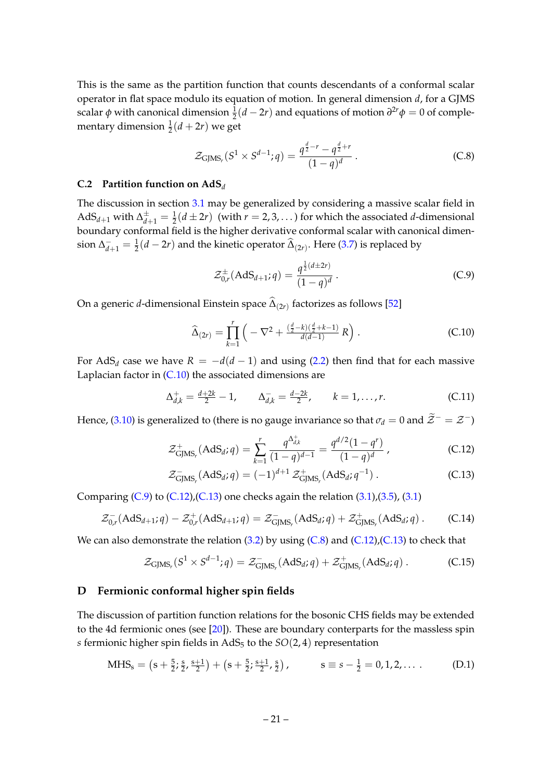This is the same as the partition function that counts descendants of a conformal scalar operator in flat space modulo its equation of motion. In general dimension *d*, for a GJMS scalar *φ* with canonical dimension  $\frac{1}{2}(d-2r)$  and equations of motion  $\frac{\partial^{2r} \phi}{\partial r^2} = 0$  of complementary dimension  $\frac{1}{2}(d+2r)$  we get

<span id="page-21-3"></span>
$$
\mathcal{Z}_{\text{GJMS}_r}(S^1 \times S^{d-1}; q) = \frac{q^{\frac{d}{2}-r} - q^{\frac{d}{2}+r}}{(1-q)^d} \,. \tag{C.8}
$$

#### <span id="page-21-0"></span>**C.2 Partition function on AdS***<sup>d</sup>*

The discussion in section [3.1](#page-6-1) may be generalized by considering a massive scalar field in  $\mathrm{AdS}_{d+1}$  with  $\Delta^{\pm}_{d+1} = \frac{1}{2}(d \pm 2r)$  (with  $r = 2, 3, \ldots$  ) for which the associated *d*-dimensional boundary conformal field is the higher derivative conformal scalar with canonical dimension  $\Delta_{d+1}^- = \frac{1}{2}(d-2r)$  and the kinetic operator  $\widehat{\Delta}_{(2r)}$ . Here [\(3.7\)](#page-6-6) is replaced by

<span id="page-21-5"></span>
$$
\mathcal{Z}_{0,r}^{\pm}(\text{AdS}_{d+1};q) = \frac{q^{\frac{1}{2}(d\pm 2r)}}{(1-q)^d}.
$$
 (C.9)

On a generic *d-*dimensional Einstein space  $\Delta_{(2r)}$  factorizes as follows [\[52\]](#page-26-17)

<span id="page-21-4"></span>
$$
\widehat{\Delta}_{(2r)} = \prod_{k=1}^{r} \left( -\nabla^2 + \frac{\left(\frac{d}{2} - k\right)\left(\frac{d}{2} + k - 1\right)}{d(d-1)} R \right). \tag{C.10}
$$

For AdS<sub>*d*</sub> case we have  $R = -d(d - 1)$  and using [\(2.2\)](#page-4-3) then find that for each massive Laplacian factor in [\(C.10\)](#page-21-4) the associated dimensions are

$$
\Delta_{d,k}^+ = \frac{d+2k}{2} - 1, \qquad \Delta_{d,k}^- = \frac{d-2k}{2}, \qquad k = 1, \ldots, r. \tag{C.11}
$$

Hence, [\(3.10\)](#page-7-3) is generalized to (there is no gauge invariance so that  $\sigma_d = 0$  and  $\widetilde{Z}^- = \mathcal{Z}^-$ )

$$
\mathcal{Z}_{\text{GJMS}_r}^+(AdS_d; q) = \sum_{k=1}^r \frac{q^{\Delta_{d,k}^+}}{(1-q)^{d-1}} = \frac{q^{d/2}(1-q^r)}{(1-q)^d} \,, \tag{C.12}
$$

<span id="page-21-2"></span>
$$
\mathcal{Z}_{\text{GJMS}_r}^-(\text{AdS}_d; q) = (-1)^{d+1} \mathcal{Z}_{\text{GJMS}_r}^+(\text{AdS}_d; q^{-1}). \tag{C.13}
$$

Comparing  $(C.9)$  to  $(C.12)$ , $(C.13)$  one checks again the relation  $(3.1)$ , $(3.5)$ ,  $(3.1)$ 

$$
\mathcal{Z}_{0,r}^{-}(AdS_{d+1}; q) - \mathcal{Z}_{0,r}^{+}(AdS_{d+1}; q) = \mathcal{Z}_{\text{GJMS}_r}^{-}(AdS_{d}; q) + \mathcal{Z}_{\text{GJMS}_r}^{+}(AdS_{d}; q) .
$$
 (C.14)

We can also demonstrate the relation  $(3.2)$  by using  $(C.8)$  and  $(C.12)$ ,  $(C.13)$  to check that

$$
\mathcal{Z}_{\text{GJMS}_r}(S^1 \times S^{d-1}; q) = \mathcal{Z}_{\text{GJMS}_r}^-(\text{AdS}_d; q) + \mathcal{Z}_{\text{GJMS}_r}^+(\text{AdS}_d; q) \,. \tag{C.15}
$$

#### <span id="page-21-1"></span>**D Fermionic conformal higher spin fields**

The discussion of partition function relations for the bosonic CHS fields may be extended to the 4d fermionic ones (see  $[20]$ ). These are boundary conterparts for the massless spin *s* fermionic higher spin fields in  $AdS_5$  to the  $SO(2, 4)$  representation

$$
MHS_s = (s + \frac{5}{2}, \frac{s}{2}, \frac{s+1}{2}) + (s + \frac{5}{2}, \frac{s+1}{2}, \frac{s}{2}), \qquad s \equiv s - \frac{1}{2} = 0, 1, 2, \dots
$$
 (D.1)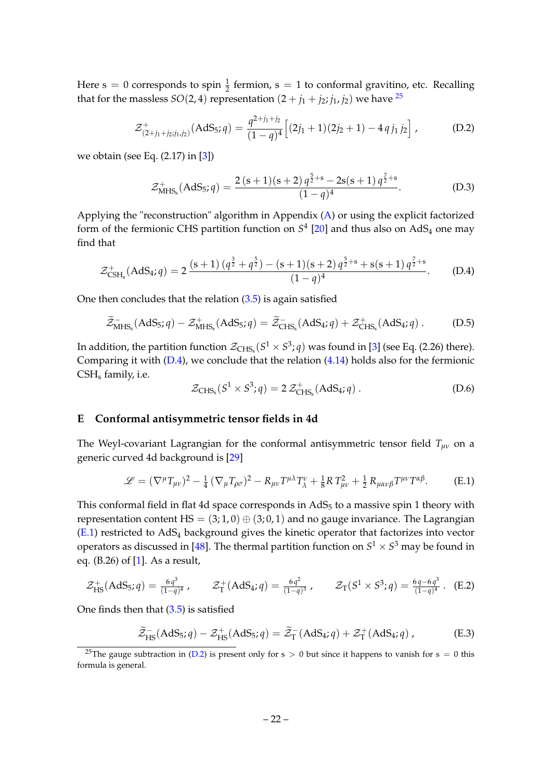Here  $s = 0$  corresponds to spin  $\frac{1}{2}$  fermion,  $s = 1$  to conformal gravitino, etc. Recalling that for the massless *SO*(2, 4) representation  $(2 + j_1 + j_2; j_1, j_2)$  we have <sup>[25](#page-22-1)</sup>

<span id="page-22-4"></span>
$$
\mathcal{Z}^+_{(2+j_1+j_2;j_1,j_2)}(AdS_5;q) = \frac{q^{2+j_1+j_2}}{(1-q)^4} \Big[ (2j_1+1)(2j_2+1) - 4q j_1 j_2 \Big] , \tag{D.2}
$$

we obtain (see Eq. (2.17) in [\[3\]](#page-24-2))

$$
\mathcal{Z}_{\text{MHS}_s}^+(AdS_5; q) = \frac{2\,(s+1)(s+2)\,q^{\frac{5}{2}+s} - 2s(s+1)\,q^{\frac{7}{2}+s}}{(1-q)^4}.\tag{D.3}
$$

Applying the "reconstruction" algorithm in Appendix [\(A\)](#page-17-0) or using the explicit factorized form of the fermionic CHS partition function on  $S<sup>4</sup>$  [\[20\]](#page-25-7) and thus also on AdS<sub>4</sub> one may find that

<span id="page-22-2"></span>
$$
\mathcal{Z}_{\text{CSH}_s}^+(\text{AdS}_4; q) = 2 \frac{(s+1) \left(q^{\frac{3}{2}} + q^{\frac{5}{2}}\right) - (s+1)(s+2) \, q^{\frac{5}{2}+s} + s(s+1) \, q^{\frac{7}{2}+s}}{(1-q)^4}.
$$
 (D.4)

One then concludes that the relation  $(3.5)$  is again satisfied

$$
\widetilde{\mathcal{Z}}_{\text{MHS}_s}^-(\text{AdS}_5; q) - \mathcal{Z}_{\text{MHS}_s}^+(\text{AdS}_5; q) = \widetilde{\mathcal{Z}}_{\text{CHS}_s}^-(\text{AdS}_4; q) + \mathcal{Z}_{\text{CHS}_s}^+(\text{AdS}_4; q) \,. \tag{D.5}
$$

In addition, the partition function  $\mathcal{Z}_{\mathrm{CHS}_8}(S^1 \times S^3; q)$  was found in [\[3\]](#page-24-2) (see Eq. (2.26) there). Comparing it with  $(D.4)$ , we conclude that the relation  $(4.14)$  holds also for the fermionic CSH<sub>s</sub> family, i.e.

$$
\mathcal{Z}_{\text{CHS}_s}(S^1 \times S^3; q) = 2 \mathcal{Z}_{\text{CHS}_s}^+(AdS_4; q) .
$$
 (D.6)

#### <span id="page-22-0"></span>**E Conformal antisymmetric tensor fields in 4d**

The Weyl-covariant Lagrangian for the conformal antisymmetric tensor field *Tµν* on a generic curved 4d background is [\[29\]](#page-25-15)

<span id="page-22-3"></span>
$$
\mathscr{L} = (\nabla^{\mu}T_{\mu\nu})^2 - \frac{1}{4}(\nabla_{\mu}T_{\rho\sigma})^2 - R_{\mu\nu}T^{\mu\lambda}T_{\lambda}^{\nu} + \frac{1}{8}R T_{\mu\nu}^2 + \frac{1}{2}R_{\mu\alpha\nu\beta}T^{\mu\nu}T^{\alpha\beta}.
$$
 (E.1)

This conformal field in flat 4d space corresponds in  $AdS<sub>5</sub>$  to a massive spin 1 theory with representation content  $HS = (3, 1, 0) \oplus (3, 0, 1)$  and no gauge invariance. The Lagrangian  $(E.1)$  restricted to AdS<sub>4</sub> background gives the kinetic operator that factorizes into vector operators as discussed in [\[48\]](#page-26-13). The thermal partition function on  $S^1 \times S^3$  may be found in eq. (B.26) of [\[1\]](#page-24-0). As a result,

<span id="page-22-5"></span>
$$
\mathcal{Z}_{\text{HS}}^+(\text{AdS}_5; q) = \frac{6q^3}{(1-q)^4}, \qquad \mathcal{Z}_{\text{T}}^+(\text{AdS}_4; q) = \frac{6q^2}{(1-q)^3}, \qquad \mathcal{Z}_{\text{T}}(S^1 \times S^3; q) = \frac{6q^3}{(1-q)^4}. \quad \text{(E.2)}
$$

One finds then that  $(3.5)$  is satisfied

$$
\widetilde{\mathcal{Z}}_{\text{HS}}^{-}(\text{AdS}_5; q) - \mathcal{Z}_{\text{HS}}^{+}(\text{AdS}_5; q) = \widetilde{\mathcal{Z}}_{\text{T}}^{-}(\text{AdS}_4; q) + \mathcal{Z}_{\text{T}}^{+}(\text{AdS}_4; q) ,\qquad (E.3)
$$

<span id="page-22-1"></span><sup>&</sup>lt;sup>25</sup>The gauge subtraction in [\(D.2\)](#page-22-4) is present only for s > 0 but since it happens to vanish for s = 0 this formula is general.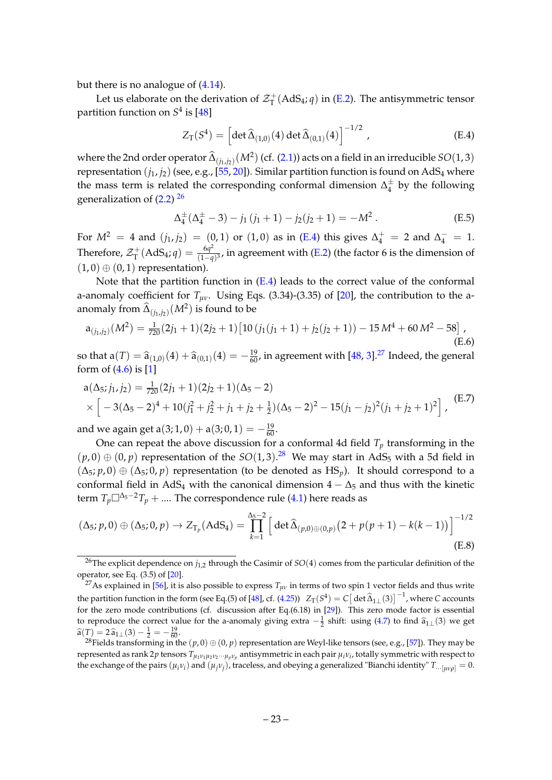but there is no analogue of [\(4.14\)](#page-11-4).

Let us elaborate on the derivation of  $\mathcal{Z}_{\text{T}}^+$  $T^+$ (AdS<sub>4</sub>; *q*) in [\(E.2\)](#page-22-5). The antisymmetric tensor partition function on  $S^4$  is [\[48\]](#page-26-13)

<span id="page-23-1"></span>
$$
Z_{\rm T}(S^4) = \left[ \det \widehat{\Delta}_{(1,0)}(4) \det \widehat{\Delta}_{(0,1)}(4) \right]^{-1/2}, \tag{E.4}
$$

where the 2nd order operator  $\widehat{\Delta}_{(j_1,j_2)}(M^2)$  (cf. [\(2.1\)](#page-4-2)) acts on a field in an irreducible *SO*(1, 3) representation  $(i_1, i_2)$  (see, e.g., [\[55,](#page-27-1) [20\]](#page-25-7)). Similar partition function is found on AdS<sub>4</sub> where the mass term is related the corresponding conformal dimension  $\Delta_4^{\pm}$  $\frac{1}{4}$  by the following generalization of [\(2.2\)](#page-4-3) <sup>[26](#page-23-0)</sup>

<span id="page-23-7"></span>
$$
\Delta_4^{\pm}(\Delta_4^{\pm} - 3) - j_1(j_1 + 1) - j_2(j_2 + 1) = -M^2.
$$
 (E.5)

For  $M^2 = 4$  and  $(j_1, j_2) = (0, 1)$  or  $(1, 0)$  as in [\(E.4\)](#page-23-1) this gives  $\Delta_4^+ = 2$  and  $\Delta_4^- = 1$ . Therefore,  $\mathcal{Z}_{\text{T}}^+$  $\chi_\mathrm{T}^+(\mathrm{AdS}_4; q) = \frac{6q^2}{(1-q)^2}$ (1−*q*) 3 , in agreement with [\(E.2\)](#page-22-5) (the factor 6 is the dimension of  $(1, 0) \oplus (0, 1)$  representation).

Note that the partition function in [\(E.4\)](#page-23-1) leads to the correct value of the conformal a-anomaly coefficient for  $T_{\mu\nu}$ . Using Eqs. (3.34)-(3.35) of [\[20\]](#page-25-7), the contribution to the aanomaly from  $\widehat{\Delta}_{(j_1,j_2)}(M^2)$  is found to be

<span id="page-23-4"></span>
$$
a_{(j_1,j_2)}(M^2) = \frac{1}{720}(2j_1+1)(2j_2+1)[10(j_1(j_1+1)+j_2(j_2+1))-15M^4+60M^2-58],
$$
\n(E.6)

so that  $a(T) = \hat{a}_{(1,0)}(4) + \hat{a}_{(0,1)}(4) = -\frac{19}{60}$ , in agreement with [\[48,](#page-26-13) [3\]](#page-24-2).<sup>[27](#page-23-2)</sup> Indeed, the general form of  $(4.6)$  is [\[1\]](#page-24-0)

<span id="page-23-5"></span>
$$
a(\Delta_5; j_1, j_2) = \frac{1}{720}(2j_1 + 1)(2j_2 + 1)(\Delta_5 - 2)
$$
  
 
$$
\times \left[ -3(\Delta_5 - 2)^4 + 10(j_1^2 + j_2^2 + j_1 + j_2 + \frac{1}{2})(\Delta_5 - 2)^2 - 15(j_1 - j_2)^2(j_1 + j_2 + 1)^2 \right],
$$
 (E.7)

and we again get  $a(3;1,0) + a(3;0,1) = -\frac{19}{60}$ .

One can repeat the above discussion for a conformal 4d field  $T_p$  transforming in the  $(p, 0) \oplus (0, p)$  representation of the  $SO(1, 3)$ .<sup>[28](#page-23-3)</sup> We may start in AdS<sub>5</sub> with a 5d field in  $(\Delta_5; p, 0) \oplus (\Delta_5; 0, p)$  representation (to be denoted as HS<sub>*p*</sub>). It should correspond to a conformal field in AdS<sub>4</sub> with the canonical dimension  $4 - \Delta_5$  and thus with the kinetic term  $T_p\square^{\Delta_5-2}T_p + \dots$  The correspondence rule [\(4.1\)](#page-9-5) here reads as

<span id="page-23-6"></span>
$$
(\Delta_5; p, 0) \oplus (\Delta_5; 0, p) \to Z_{T_p}(\text{AdS}_4) = \prod_{k=1}^{\Delta_5 - 2} \left[ \det \widehat{\Delta}_{(p,0) \oplus (0,p)} (2 + p(p+1) - k(k-1)) \right]^{-1/2}
$$
\n(E.8)

<span id="page-23-0"></span><sup>26</sup>The explicit dependence on *j*1,2 through the Casimir of *SO*(4) comes from the particular definition of the operator, see Eq.  $(3.5)$  of  $[20]$ .

<span id="page-23-2"></span><sup>&</sup>lt;sup>27</sup>As explained in [\[56\]](#page-27-2), it is also possible to express  $T_{\mu\nu}$  in terms of two spin 1 vector fields and thus write the partition function in the form (see Eq.(5) of [\[48\]](#page-26-13), cf. [\(4.25\)](#page-13-5))  $Z_T(S^4) = C[\det \hat{\Delta}_{1\perp}(3)]^{-1}$ , where *C* accounts for the zero mode contributions (cf. discussion after Eq.(6.18) in [\[29\]](#page-25-15)). This zero mode factor is essential to reproduce the correct value for the a-anomaly giving extra  $-\frac{1}{2}$  shift: using [\(4.7\)](#page-10-3) to find  $\hat{a}_{1\perp}(3)$  we get  $\hat{a}(T) = 2 \hat{a}_{1\perp}(3) - \frac{1}{2} = -\frac{19}{60}.$ <br><sup>28</sup> Eight there form in a in the

<span id="page-23-3"></span><sup>&</sup>lt;sup>28</sup>Fields transforming in the  $(p, 0) \oplus (0, p)$  representation are Weyl-like tensors (see, e.g., [\[57\]](#page-27-3)). They may be represented as rank 2*p* tensors *Tµ*1*ν*1*µ*2*ν*2···*µ<sup>p</sup> <sup>ν</sup><sup>p</sup>* antisymmetric in each pair *µiν<sup>i</sup>* , totally symmetric with respect to the exchange of the pairs  $(\mu_i\nu_i)$  and  $(\mu_j\nu_j)$ , traceless, and obeying a generalized "Bianchi identity"  $T_{\cdots[\mu\nu\rho]}=0.$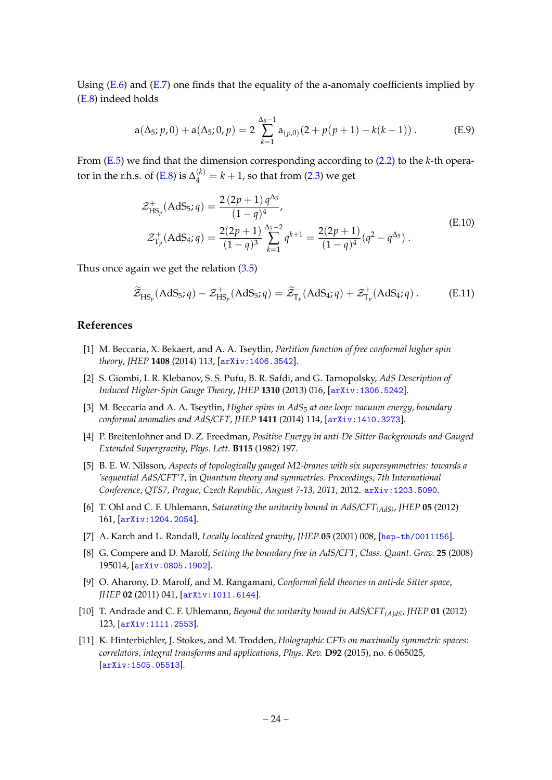Using  $(E.6)$  and  $(E.7)$  one finds that the equality of the a-anomaly coefficients implied by [\(E.8\)](#page-23-6) indeed holds

$$
a(\Delta_5; p, 0) + a(\Delta_5; 0, p) = 2 \sum_{k=1}^{\Delta_5 - 1} a_{(p,0)}(2 + p(p+1) - k(k-1)).
$$
 (E.9)

From [\(E.5\)](#page-23-7) we find that the dimension corresponding according to [\(2.2\)](#page-4-3) to the *k*-th opera-tor in the r.h.s. of [\(E.8\)](#page-23-6) is  $\Delta_4^{(k)}=k+1$ , so that from [\(2.3\)](#page-5-0) we get

$$
\mathcal{Z}_{\mathrm{HS}_p}^+(\mathrm{AdS}_5; q) = \frac{2(2p+1)q^{\Delta_5}}{(1-q)^4},
$$
\n
$$
\mathcal{Z}_{\mathrm{T}_p}^+(\mathrm{AdS}_4; q) = \frac{2(2p+1)}{(1-q)^3} \sum_{k=1}^{\Delta_5 - 2} q^{k+1} = \frac{2(2p+1)}{(1-q)^4} (q^2 - q^{\Delta_5}).
$$
\n(E.10)

Thus once again we get the relation [\(3.5\)](#page-6-4)

$$
\widetilde{\mathcal{Z}}_{\mathrm{HS}_p}^-(\mathrm{AdS}_5; q) - \mathcal{Z}_{\mathrm{HS}_p}^+(\mathrm{AdS}_5; q) = \widetilde{\mathcal{Z}}_{\mathrm{T}_p}^-(\mathrm{AdS}_4; q) + \mathcal{Z}_{\mathrm{T}_p}^+(\mathrm{AdS}_4; q) . \tag{E.11}
$$

## **References**

- <span id="page-24-0"></span>[1] M. Beccaria, X. Bekaert, and A. A. Tseytlin, *Partition function of free conformal higher spin theory*, *JHEP* **1408** (2014) 113, [[arXiv:1406.3542](http://arxiv.org/abs/1406.3542)].
- <span id="page-24-1"></span>[2] S. Giombi, I. R. Klebanov, S. S. Pufu, B. R. Safdi, and G. Tarnopolsky, *AdS Description of Induced Higher-Spin Gauge Theory*, *JHEP* **1310** (2013) 016, [[arXiv:1306.5242](http://arxiv.org/abs/1306.5242)].
- <span id="page-24-2"></span>[3] M. Beccaria and A. A. Tseytlin, *Higher spins in AdS*<sup>5</sup> *at one loop: vacuum energy, boundary conformal anomalies and AdS/CFT*, *JHEP* **1411** (2014) 114, [[arXiv:1410.3273](http://arxiv.org/abs/1410.3273)].
- <span id="page-24-3"></span>[4] P. Breitenlohner and D. Z. Freedman, *Positive Energy in anti-De Sitter Backgrounds and Gauged Extended Supergravity*, *Phys. Lett.* **B115** (1982) 197.
- <span id="page-24-4"></span>[5] B. E. W. Nilsson, *Aspects of topologically gauged M2-branes with six supersymmetries: towards a 'sequential AdS/CFT'?*, in *Quantum theory and symmetries. Proceedings, 7th International Conference, QTS7, Prague, Czech Republic, August 7-13, 2011*, 2012. [arXiv:1203.5090](http://arxiv.org/abs/1203.5090).
- <span id="page-24-5"></span>[6] T. Ohl and C. F. Uhlemann, *Saturating the unitarity bound in AdS/CFT(AdS)*, *JHEP* **05** (2012) 161, [[arXiv:1204.2054](http://arxiv.org/abs/1204.2054)].
- <span id="page-24-6"></span>[7] A. Karch and L. Randall, *Locally localized gravity*, *JHEP* **05** (2001) 008, [[hep-th/0011156](http://arxiv.org/abs/hep-th/0011156)].
- [8] G. Compere and D. Marolf, *Setting the boundary free in AdS/CFT*, *Class. Quant. Grav.* **25** (2008) 195014, [[arXiv:0805.1902](http://arxiv.org/abs/0805.1902)].
- [9] O. Aharony, D. Marolf, and M. Rangamani, *Conformal field theories in anti-de Sitter space*, *JHEP* **02** (2011) 041, [[arXiv:1011.6144](http://arxiv.org/abs/1011.6144)].
- [10] T. Andrade and C. F. Uhlemann, *Beyond the unitarity bound in AdS/CFT(A)dS*, *JHEP* **01** (2012) 123, [[arXiv:1111.2553](http://arxiv.org/abs/1111.2553)].
- <span id="page-24-7"></span>[11] K. Hinterbichler, J. Stokes, and M. Trodden, *Holographic CFTs on maximally symmetric spaces: correlators, integral transforms and applications*, *Phys. Rev.* **D92** (2015), no. 6 065025, [[arXiv:1505.05513](http://arxiv.org/abs/1505.05513)].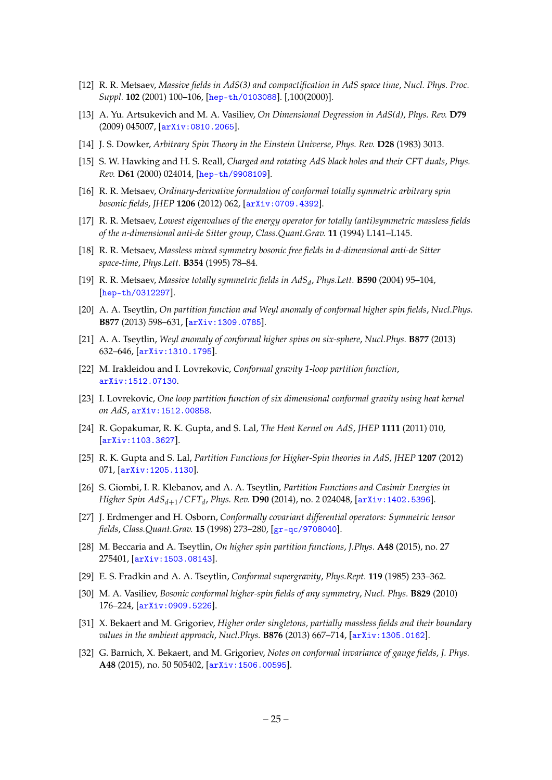- <span id="page-25-0"></span>[12] R. R. Metsaev, *Massive fields in AdS(3) and compactification in AdS space time*, *Nucl. Phys. Proc. Suppl.* **102** (2001) 100–106, [[hep-th/0103088](http://arxiv.org/abs/hep-th/0103088)]. [,100(2000)].
- <span id="page-25-1"></span>[13] A. Yu. Artsukevich and M. A. Vasiliev, *On Dimensional Degression in AdS(d)*, *Phys. Rev.* **D79** (2009) 045007, [[arXiv:0810.2065](http://arxiv.org/abs/0810.2065)].
- <span id="page-25-2"></span>[14] J. S. Dowker, *Arbitrary Spin Theory in the Einstein Universe*, *Phys. Rev.* **D28** (1983) 3013.
- <span id="page-25-3"></span>[15] S. W. Hawking and H. S. Reall, *Charged and rotating AdS black holes and their CFT duals*, *Phys. Rev.* **D61** (2000) 024014, [[hep-th/9908109](http://arxiv.org/abs/hep-th/9908109)].
- <span id="page-25-4"></span>[16] R. R. Metsaev, *Ordinary-derivative formulation of conformal totally symmetric arbitrary spin bosonic fields*, *JHEP* **1206** (2012) 062, [[arXiv:0709.4392](http://arxiv.org/abs/0709.4392)].
- <span id="page-25-5"></span>[17] R. R. Metsaev, *Lowest eigenvalues of the energy operator for totally (anti)symmetric massless fields of the n-dimensional anti-de Sitter group*, *Class.Quant.Grav.* **11** (1994) L141–L145.
- [18] R. R. Metsaev, *Massless mixed symmetry bosonic free fields in d-dimensional anti-de Sitter space-time*, *Phys.Lett.* **B354** (1995) 78–84.
- <span id="page-25-6"></span>[19] R. R. Metsaev, *Massive totally symmetric fields in AdS<sup>d</sup>* , *Phys.Lett.* **B590** (2004) 95–104, [[hep-th/0312297](http://arxiv.org/abs/hep-th/0312297)].
- <span id="page-25-7"></span>[20] A. A. Tseytlin, *On partition function and Weyl anomaly of conformal higher spin fields*, *Nucl.Phys.* **B877** (2013) 598–631, [[arXiv:1309.0785](http://arxiv.org/abs/1309.0785)].
- <span id="page-25-8"></span>[21] A. A. Tseytlin, *Weyl anomaly of conformal higher spins on six-sphere*, *Nucl.Phys.* **B877** (2013) 632–646, [[arXiv:1310.1795](http://arxiv.org/abs/1310.1795)].
- <span id="page-25-9"></span>[22] M. Irakleidou and I. Lovrekovic, *Conformal gravity 1-loop partition function*, [arXiv:1512.07130](http://arxiv.org/abs/1512.07130).
- <span id="page-25-10"></span>[23] I. Lovrekovic, *One loop partition function of six dimensional conformal gravity using heat kernel on AdS*, [arXiv:1512.00858](http://arxiv.org/abs/1512.00858).
- <span id="page-25-11"></span>[24] R. Gopakumar, R. K. Gupta, and S. Lal, *The Heat Kernel on AdS*, *JHEP* **1111** (2011) 010, [[arXiv:1103.3627](http://arxiv.org/abs/1103.3627)].
- [25] R. K. Gupta and S. Lal, *Partition Functions for Higher-Spin theories in AdS*, *JHEP* **1207** (2012) 071, [[arXiv:1205.1130](http://arxiv.org/abs/1205.1130)].
- <span id="page-25-12"></span>[26] S. Giombi, I. R. Klebanov, and A. A. Tseytlin, *Partition Functions and Casimir Energies in Higher Spin AdSd*+1/*CFT<sup>d</sup>* , *Phys. Rev.* **D90** (2014), no. 2 024048, [[arXiv:1402.5396](http://arxiv.org/abs/1402.5396)].
- <span id="page-25-13"></span>[27] J. Erdmenger and H. Osborn, *Conformally covariant differential operators: Symmetric tensor fields*, *Class.Quant.Grav.* **15** (1998) 273–280, [[gr-qc/9708040](http://arxiv.org/abs/gr-qc/9708040)].
- <span id="page-25-14"></span>[28] M. Beccaria and A. Tseytlin, *On higher spin partition functions*, *J.Phys.* **A48** (2015), no. 27 275401, [[arXiv:1503.08143](http://arxiv.org/abs/1503.08143)].
- <span id="page-25-15"></span>[29] E. S. Fradkin and A. A. Tseytlin, *Conformal supergravity*, *Phys.Rept.* **119** (1985) 233–362.
- <span id="page-25-16"></span>[30] M. A. Vasiliev, *Bosonic conformal higher-spin fields of any symmetry*, *Nucl. Phys.* **B829** (2010) 176–224, [[arXiv:0909.5226](http://arxiv.org/abs/0909.5226)].
- <span id="page-25-18"></span>[31] X. Bekaert and M. Grigoriev, *Higher order singletons, partially massless fields and their boundary values in the ambient approach*, *Nucl.Phys.* **B876** (2013) 667–714, [[arXiv:1305.0162](http://arxiv.org/abs/1305.0162)].
- <span id="page-25-17"></span>[32] G. Barnich, X. Bekaert, and M. Grigoriev, *Notes on conformal invariance of gauge fields*, *J. Phys.* **A48** (2015), no. 50 505402, [[arXiv:1506.00595](http://arxiv.org/abs/1506.00595)].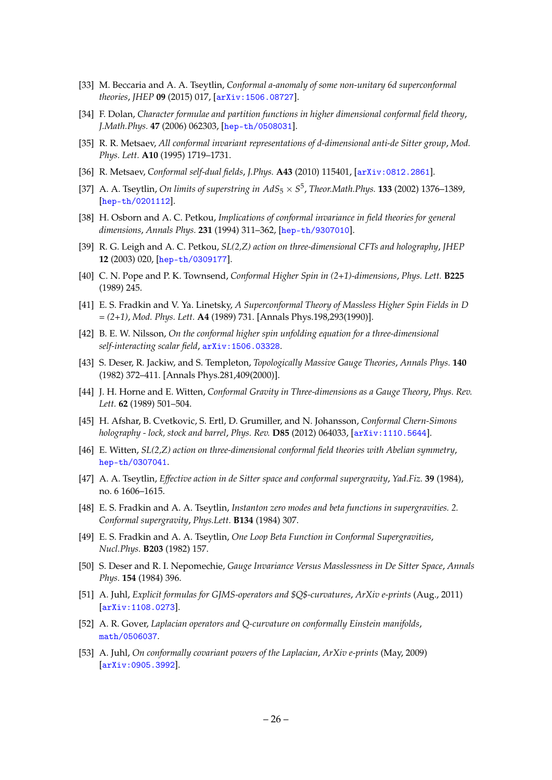- <span id="page-26-0"></span>[33] M. Beccaria and A. A. Tseytlin, *Conformal a-anomaly of some non-unitary 6d superconformal theories*, *JHEP* **09** (2015) 017, [[arXiv:1506.08727](http://arxiv.org/abs/1506.08727)].
- <span id="page-26-1"></span>[34] F. Dolan, *Character formulae and partition functions in higher dimensional conformal field theory*, *J.Math.Phys.* **47** (2006) 062303, [[hep-th/0508031](http://arxiv.org/abs/hep-th/0508031)].
- <span id="page-26-2"></span>[35] R. R. Metsaev, *All conformal invariant representations of d-dimensional anti-de Sitter group*, *Mod. Phys. Lett.* **A10** (1995) 1719–1731.
- <span id="page-26-3"></span>[36] R. Metsaev, *Conformal self-dual fields*, *J.Phys.* **A43** (2010) 115401, [[arXiv:0812.2861](http://arxiv.org/abs/0812.2861)].
- <span id="page-26-4"></span>[37] A. A. Tseytlin, *On limits of superstring in AdS*<sup>5</sup> × *S* 5 , *Theor.Math.Phys.* **133** (2002) 1376–1389, [[hep-th/0201112](http://arxiv.org/abs/hep-th/0201112)].
- <span id="page-26-9"></span>[38] H. Osborn and A. C. Petkou, *Implications of conformal invariance in field theories for general dimensions*, *Annals Phys.* **231** (1994) 311–362, [[hep-th/9307010](http://arxiv.org/abs/hep-th/9307010)].
- <span id="page-26-10"></span>[39] R. G. Leigh and A. C. Petkou, *SL(2,Z) action on three-dimensional CFTs and holography*, *JHEP* **12** (2003) 020, [[hep-th/0309177](http://arxiv.org/abs/hep-th/0309177)].
- <span id="page-26-5"></span>[40] C. N. Pope and P. K. Townsend, *Conformal Higher Spin in (2+1)-dimensions*, *Phys. Lett.* **B225** (1989) 245.
- [41] E. S. Fradkin and V. Ya. Linetsky, *A Superconformal Theory of Massless Higher Spin Fields in D = (2+1)*, *Mod. Phys. Lett.* **A4** (1989) 731. [Annals Phys.198,293(1990)].
- <span id="page-26-6"></span>[42] B. E. W. Nilsson, *On the conformal higher spin unfolding equation for a three-dimensional self-interacting scalar field*, [arXiv:1506.03328](http://arxiv.org/abs/1506.03328).
- <span id="page-26-7"></span>[43] S. Deser, R. Jackiw, and S. Templeton, *Topologically Massive Gauge Theories*, *Annals Phys.* **140** (1982) 372–411. [Annals Phys.281,409(2000)].
- [44] J. H. Horne and E. Witten, *Conformal Gravity in Three-dimensions as a Gauge Theory*, *Phys. Rev. Lett.* **62** (1989) 501–504.
- <span id="page-26-8"></span>[45] H. Afshar, B. Cvetkovic, S. Ertl, D. Grumiller, and N. Johansson, *Conformal Chern-Simons holography - lock, stock and barrel*, *Phys. Rev.* **D85** (2012) 064033, [[arXiv:1110.5644](http://arxiv.org/abs/1110.5644)].
- <span id="page-26-11"></span>[46] E. Witten, *SL(2,Z) action on three-dimensional conformal field theories with Abelian symmetry*, [hep-th/0307041](http://arxiv.org/abs/hep-th/0307041).
- <span id="page-26-12"></span>[47] A. A. Tseytlin, *Effective action in de Sitter space and conformal supergravity*, *Yad.Fiz.* **39** (1984), no. 6 1606–1615.
- <span id="page-26-13"></span>[48] E. S. Fradkin and A. A. Tseytlin, *Instanton zero modes and beta functions in supergravities. 2. Conformal supergravity*, *Phys.Lett.* **B134** (1984) 307.
- <span id="page-26-14"></span>[49] E. S. Fradkin and A. A. Tseytlin, *One Loop Beta Function in Conformal Supergravities*, *Nucl.Phys.* **B203** (1982) 157.
- <span id="page-26-15"></span>[50] S. Deser and R. I. Nepomechie, *Gauge Invariance Versus Masslessness in De Sitter Space*, *Annals Phys.* **154** (1984) 396.
- <span id="page-26-16"></span>[51] A. Juhl, *Explicit formulas for GJMS-operators and \$Q\$-curvatures*, *ArXiv e-prints* (Aug., 2011) [[arXiv:1108.0273](http://arxiv.org/abs/1108.0273)].
- <span id="page-26-17"></span>[52] A. R. Gover, *Laplacian operators and Q-curvature on conformally Einstein manifolds*, [math/0506037](http://arxiv.org/abs/math/0506037).
- <span id="page-26-18"></span>[53] A. Juhl, *On conformally covariant powers of the Laplacian*, *ArXiv e-prints* (May, 2009) [[arXiv:0905.3992](http://arxiv.org/abs/0905.3992)].